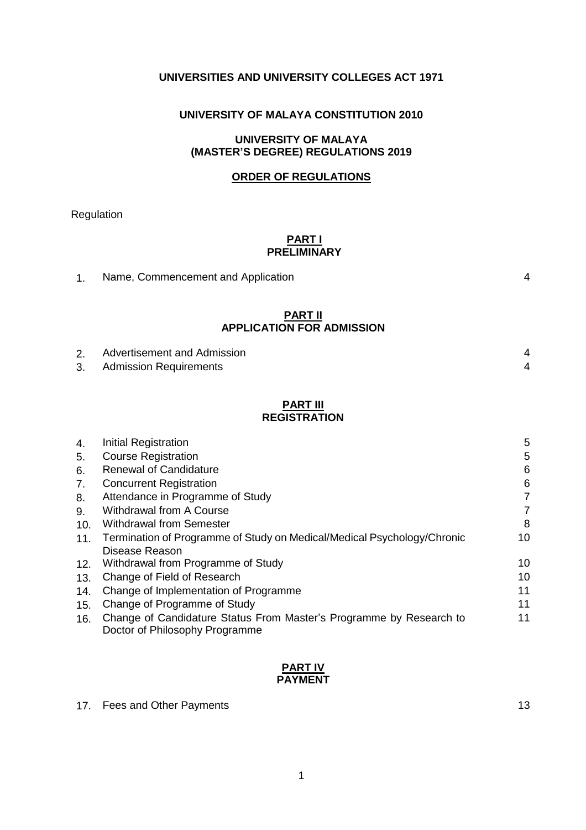## **UNIVERSITIES AND UNIVERSITY COLLEGES ACT 1971**

# **UNIVERSITY OF MALAYA CONSTITUTION 2010**

## **UNIVERSITY OF MALAYA (MASTER'S DEGREE) REGULATIONS 2019**

### **ORDER OF REGULATIONS**

Regulation

# **PART I PRELIMINARY**

| Name, Commencement and Application |  |
|------------------------------------|--|
|------------------------------------|--|

#### **PART II APPLICATION FOR ADMISSION**

| 2. | Advertisement and Admission |  |
|----|-----------------------------|--|
| 3. | Admission Requirements      |  |

#### **PART III REGISTRATION**

| 4.  | Initial Registration                                                                                  | 5  |
|-----|-------------------------------------------------------------------------------------------------------|----|
| 5.  | <b>Course Registration</b>                                                                            | 5  |
| 6.  | <b>Renewal of Candidature</b>                                                                         | 6  |
| 7.  | <b>Concurrent Registration</b>                                                                        | 6  |
| 8.  | Attendance in Programme of Study                                                                      | 7  |
| 9.  | <b>Withdrawal from A Course</b>                                                                       | 7  |
| 10. | <b>Withdrawal from Semester</b>                                                                       | 8  |
| 11. | Termination of Programme of Study on Medical/Medical Psychology/Chronic                               | 10 |
|     | Disease Reason                                                                                        |    |
| 12. | Withdrawal from Programme of Study                                                                    | 10 |
| 13. | Change of Field of Research                                                                           | 10 |
| 14. | Change of Implementation of Programme                                                                 | 11 |
| 15. | Change of Programme of Study                                                                          | 11 |
| 16. | Change of Candidature Status From Master's Programme by Research to<br>Doctor of Philosophy Programme | 11 |

### **PART IV PAYMENT**

17. Fees and Other Payments 13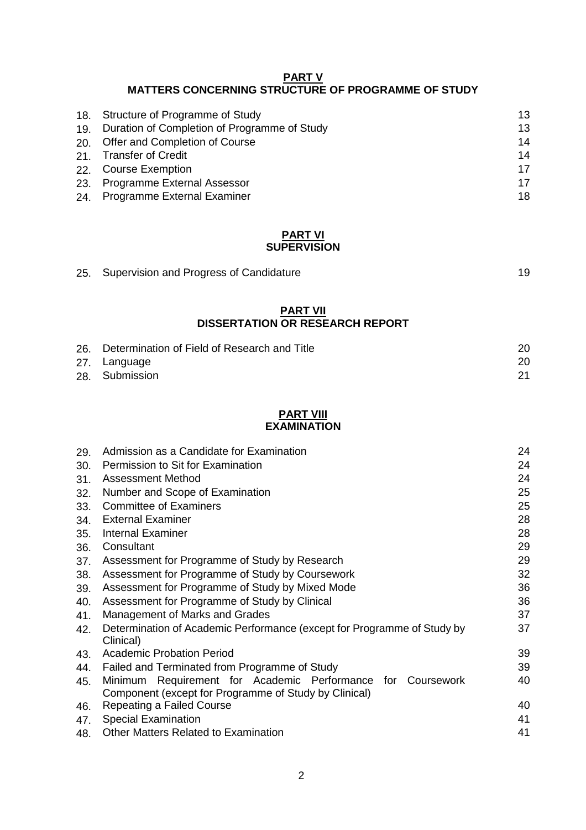# **PART V MATTERS CONCERNING STRUCTURE OF PROGRAMME OF STUDY**

|     | 18. Structure of Programme of Study          | 13 |
|-----|----------------------------------------------|----|
| 19. | Duration of Completion of Programme of Study | 13 |
|     | 20. Offer and Completion of Course           | 14 |
|     | 21. Transfer of Credit                       | 14 |
|     | 22. Course Exemption                         | 17 |
| 23. | <b>Programme External Assessor</b>           | 17 |
| 24. | <b>Programme External Examiner</b>           | 18 |

#### **PART VI SUPERVISION**

| 25. Supervision and Progress of Candidature |  |
|---------------------------------------------|--|
|                                             |  |

#### **PART VII DISSERTATION OR RESEARCH REPORT**

| 26. | Determination of Field of Research and Title | 20 |
|-----|----------------------------------------------|----|
|     | 27. Language                                 | 20 |
|     | 28. Submission                               | 21 |

# **PART VIII**

# **EXAMINATION**

| 29. | Admission as a Candidate for Examination                                             | 24 |
|-----|--------------------------------------------------------------------------------------|----|
| 30. | Permission to Sit for Examination                                                    | 24 |
| 31. | Assessment Method                                                                    | 24 |
| 32. | Number and Scope of Examination                                                      | 25 |
| 33. | <b>Committee of Examiners</b>                                                        | 25 |
| 34. | <b>External Examiner</b>                                                             | 28 |
| 35. | <b>Internal Examiner</b>                                                             | 28 |
| 36. | Consultant                                                                           | 29 |
| 37. | Assessment for Programme of Study by Research                                        | 29 |
| 38. | Assessment for Programme of Study by Coursework                                      | 32 |
| 39. | Assessment for Programme of Study by Mixed Mode                                      | 36 |
| 40. | Assessment for Programme of Study by Clinical                                        | 36 |
| 41. | Management of Marks and Grades                                                       | 37 |
| 42. | Determination of Academic Performance (except for Programme of Study by<br>Clinical) | 37 |
| 43. | <b>Academic Probation Period</b>                                                     | 39 |
| 44. | Failed and Terminated from Programme of Study                                        | 39 |
| 45. | Requirement for Academic Performance for Coursework<br>Minimum                       | 40 |
|     | Component (except for Programme of Study by Clinical)                                |    |
| 46. | Repeating a Failed Course                                                            | 40 |
| 47. | <b>Special Examination</b>                                                           | 41 |
| 48. | <b>Other Matters Related to Examination</b>                                          | 41 |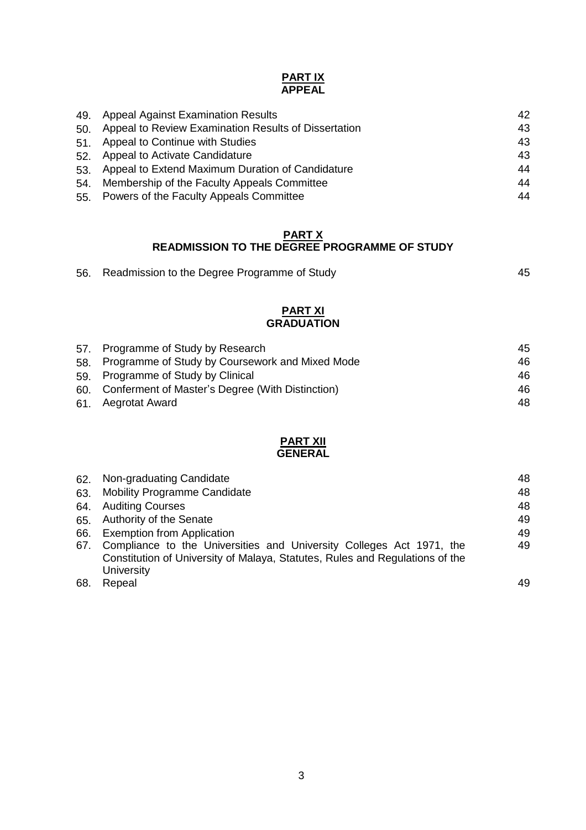### **PART IX APPEAL**

|     | 49. Appeal Against Examination Results               | 42 |
|-----|------------------------------------------------------|----|
| 50. | Appeal to Review Examination Results of Dissertation | 43 |
| 51. | <b>Appeal to Continue with Studies</b>               | 43 |
|     | 52. Appeal to Activate Candidature                   | 43 |
| 53. | Appeal to Extend Maximum Duration of Candidature     | 44 |
| 54. | Membership of the Faculty Appeals Committee          | 44 |
|     | 55. Powers of the Faculty Appeals Committee          | 44 |
|     |                                                      |    |

#### **PART X READMISSION TO THE DEGREE PROGRAMME OF STUDY**

| 56. Readmission to the Degree Programme of Study |  |
|--------------------------------------------------|--|
|                                                  |  |

#### **PART XI GRADUATION**

| 57. Programme of Study by Research                   | 45 |
|------------------------------------------------------|----|
| 58. Programme of Study by Coursework and Mixed Mode  | 46 |
| 59. Programme of Study by Clinical                   | 46 |
| 60. Conferment of Master's Degree (With Distinction) | 46 |
| 61. Aegrotat Award                                   | 48 |

#### **PART XII GENERAL**

| 62. | Non-graduating Candidate                                                     | 48 |
|-----|------------------------------------------------------------------------------|----|
| 63. | Mobility Programme Candidate                                                 | 48 |
| 64. | <b>Auditing Courses</b>                                                      | 48 |
| 65. | <b>Authority of the Senate</b>                                               | 49 |
| 66. | <b>Exemption from Application</b>                                            | 49 |
| 67. | Compliance to the Universities and University Colleges Act 1971, the         | 49 |
|     | Constitution of University of Malaya, Statutes, Rules and Regulations of the |    |
|     | <b>University</b>                                                            |    |
| 68. | Repeal                                                                       | 49 |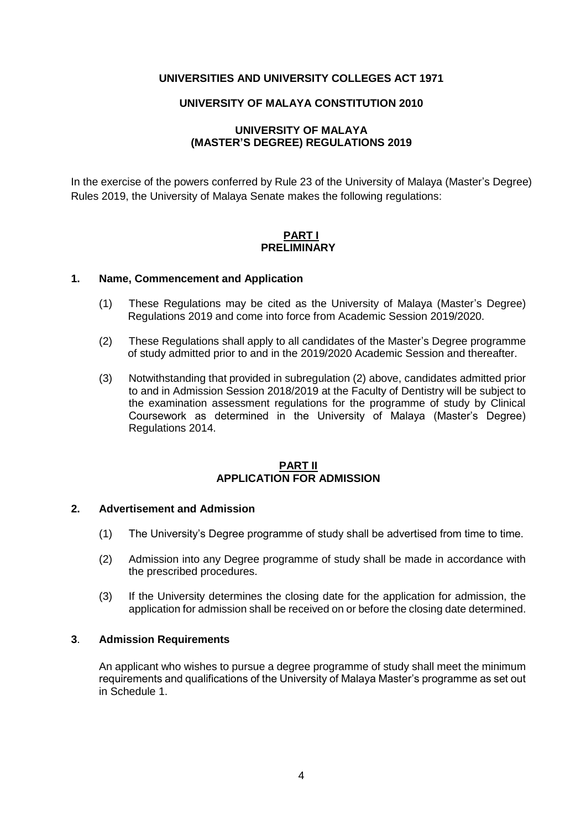## **UNIVERSITIES AND UNIVERSITY COLLEGES ACT 1971**

### **UNIVERSITY OF MALAYA CONSTITUTION 2010**

# **UNIVERSITY OF MALAYA (MASTER'S DEGREE) REGULATIONS 2019**

In the exercise of the powers conferred by Rule 23 of the University of Malaya (Master's Degree) Rules 2019, the University of Malaya Senate makes the following regulations:

### **PART I PRELIMINARY**

#### **1. Name, Commencement and Application**

- (1) These Regulations may be cited as the University of Malaya (Master's Degree) Regulations 2019 and come into force from Academic Session 2019/2020.
- (2) These Regulations shall apply to all candidates of the Master's Degree programme of study admitted prior to and in the 2019/2020 Academic Session and thereafter.
- (3) Notwithstanding that provided in subregulation (2) above, candidates admitted prior to and in Admission Session 2018/2019 at the Faculty of Dentistry will be subject to the examination assessment regulations for the programme of study by Clinical Coursework as determined in the University of Malaya (Master's Degree) Regulations 2014.

#### **PART II APPLICATION FOR ADMISSION**

#### **2. Advertisement and Admission**

- (1) The University's Degree programme of study shall be advertised from time to time.
- (2) Admission into any Degree programme of study shall be made in accordance with the prescribed procedures.
- (3) If the University determines the closing date for the application for admission, the application for admission shall be received on or before the closing date determined.

#### **3**. **Admission Requirements**

An applicant who wishes to pursue a degree programme of study shall meet the minimum requirements and qualifications of the University of Malaya Master's programme as set out in Schedule 1.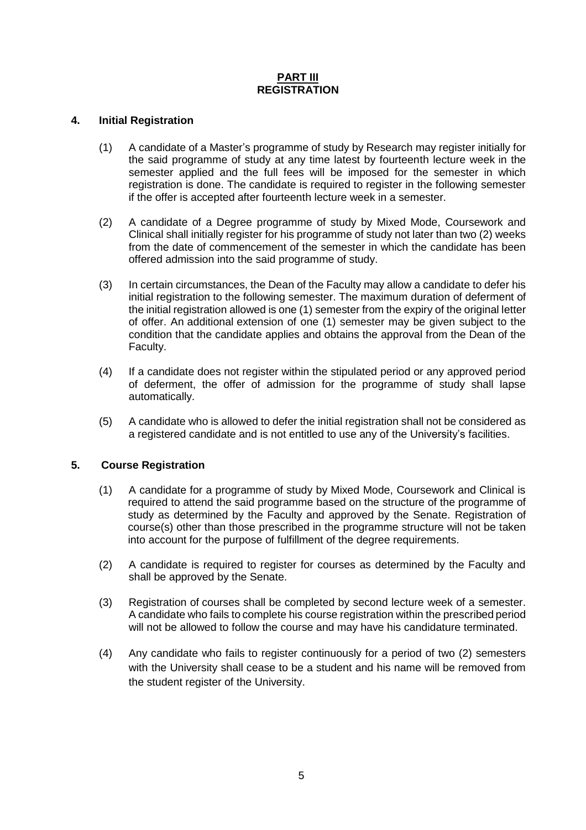## **PART III REGISTRATION**

# **4. Initial Registration**

- (1) A candidate of a Master's programme of study by Research may register initially for the said programme of study at any time latest by fourteenth lecture week in the semester applied and the full fees will be imposed for the semester in which registration is done. The candidate is required to register in the following semester if the offer is accepted after fourteenth lecture week in a semester.
- (2) A candidate of a Degree programme of study by Mixed Mode, Coursework and Clinical shall initially register for his programme of study not later than two (2) weeks from the date of commencement of the semester in which the candidate has been offered admission into the said programme of study.
- (3) In certain circumstances, the Dean of the Faculty may allow a candidate to defer his initial registration to the following semester. The maximum duration of deferment of the initial registration allowed is one (1) semester from the expiry of the original letter of offer. An additional extension of one (1) semester may be given subject to the condition that the candidate applies and obtains the approval from the Dean of the Faculty.
- (4) If a candidate does not register within the stipulated period or any approved period of deferment, the offer of admission for the programme of study shall lapse automatically.
- (5) A candidate who is allowed to defer the initial registration shall not be considered as a registered candidate and is not entitled to use any of the University's facilities.

# **5. Course Registration**

- (1) A candidate for a programme of study by Mixed Mode, Coursework and Clinical is required to attend the said programme based on the structure of the programme of study as determined by the Faculty and approved by the Senate. Registration of course(s) other than those prescribed in the programme structure will not be taken into account for the purpose of fulfillment of the degree requirements.
- (2) A candidate is required to register for courses as determined by the Faculty and shall be approved by the Senate.
- (3) Registration of courses shall be completed by second lecture week of a semester. A candidate who fails to complete his course registration within the prescribed period will not be allowed to follow the course and may have his candidature terminated.
- (4) Any candidate who fails to register continuously for a period of two (2) semesters with the University shall cease to be a student and his name will be removed from the student register of the University.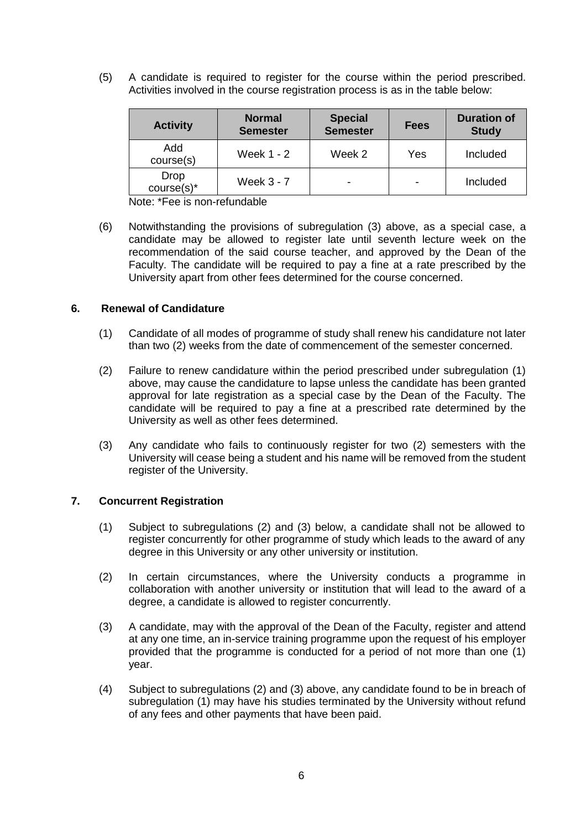(5) A candidate is required to register for the course within the period prescribed. Activities involved in the course registration process is as in the table below:

| <b>Activity</b>       | <b>Normal</b><br><b>Semester</b> | <b>Special</b><br><b>Semester</b> | Fees | <b>Duration of</b><br><b>Study</b> |
|-----------------------|----------------------------------|-----------------------------------|------|------------------------------------|
| Add<br>course(s)      | <b>Week 1 - 2</b>                | Week 2                            | Yes  | Included                           |
| Drop<br>$course(s)^*$ | Week $3 - 7$                     |                                   |      | Included                           |

Note: \*Fee is non-refundable

(6) Notwithstanding the provisions of subregulation (3) above, as a special case, a candidate may be allowed to register late until seventh lecture week on the recommendation of the said course teacher, and approved by the Dean of the Faculty. The candidate will be required to pay a fine at a rate prescribed by the University apart from other fees determined for the course concerned.

## **6. Renewal of Candidature**

- (1) Candidate of all modes of programme of study shall renew his candidature not later than two (2) weeks from the date of commencement of the semester concerned.
- (2) Failure to renew candidature within the period prescribed under subregulation (1) above, may cause the candidature to lapse unless the candidate has been granted approval for late registration as a special case by the Dean of the Faculty. The candidate will be required to pay a fine at a prescribed rate determined by the University as well as other fees determined.
- (3) Any candidate who fails to continuously register for two (2) semesters with the University will cease being a student and his name will be removed from the student register of the University.

#### **7. Concurrent Registration**

- (1) Subject to subregulations (2) and (3) below, a candidate shall not be allowed to register concurrently for other programme of study which leads to the award of any degree in this University or any other university or institution.
- (2) In certain circumstances, where the University conducts a programme in collaboration with another university or institution that will lead to the award of a degree, a candidate is allowed to register concurrently.
- (3) A candidate, may with the approval of the Dean of the Faculty, register and attend at any one time, an in-service training programme upon the request of his employer provided that the programme is conducted for a period of not more than one (1) year.
- (4) Subject to subregulations (2) and (3) above, any candidate found to be in breach of subregulation (1) may have his studies terminated by the University without refund of any fees and other payments that have been paid.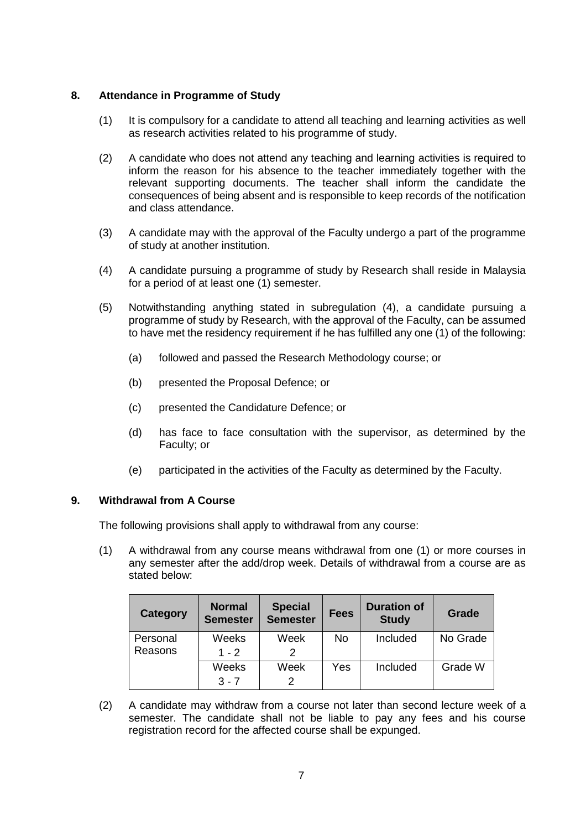# **8. Attendance in Programme of Study**

- (1) It is compulsory for a candidate to attend all teaching and learning activities as well as research activities related to his programme of study.
- (2) A candidate who does not attend any teaching and learning activities is required to inform the reason for his absence to the teacher immediately together with the relevant supporting documents. The teacher shall inform the candidate the consequences of being absent and is responsible to keep records of the notification and class attendance.
- (3) A candidate may with the approval of the Faculty undergo a part of the programme of study at another institution.
- (4) A candidate pursuing a programme of study by Research shall reside in Malaysia for a period of at least one (1) semester.
- (5) Notwithstanding anything stated in subregulation (4), a candidate pursuing a programme of study by Research, with the approval of the Faculty, can be assumed to have met the residency requirement if he has fulfilled any one (1) of the following:
	- (a) followed and passed the Research Methodology course; or
	- (b) presented the Proposal Defence; or
	- (c) presented the Candidature Defence; or
	- (d) has face to face consultation with the supervisor, as determined by the Faculty; or
	- (e) participated in the activities of the Faculty as determined by the Faculty.

## **9. Withdrawal from A Course**

The following provisions shall apply to withdrawal from any course:

(1) A withdrawal from any course means withdrawal from one (1) or more courses in any semester after the add/drop week. Details of withdrawal from a course are as stated below:

| <b>Category</b> | <b>Normal</b><br><b>Semester</b> | <b>Special</b><br><b>Semester</b> | <b>Fees</b> | <b>Duration of</b><br><b>Study</b> | Grade    |
|-----------------|----------------------------------|-----------------------------------|-------------|------------------------------------|----------|
| Personal        | Weeks                            | Week                              | No.         | Included                           | No Grade |
| Reasons         | $1 - 2$                          |                                   |             |                                    |          |
|                 | Weeks                            | Week                              | Yes         | Included                           | Grade W  |
|                 | $3 - 7$                          | 2                                 |             |                                    |          |

(2) A candidate may withdraw from a course not later than second lecture week of a semester. The candidate shall not be liable to pay any fees and his course registration record for the affected course shall be expunged.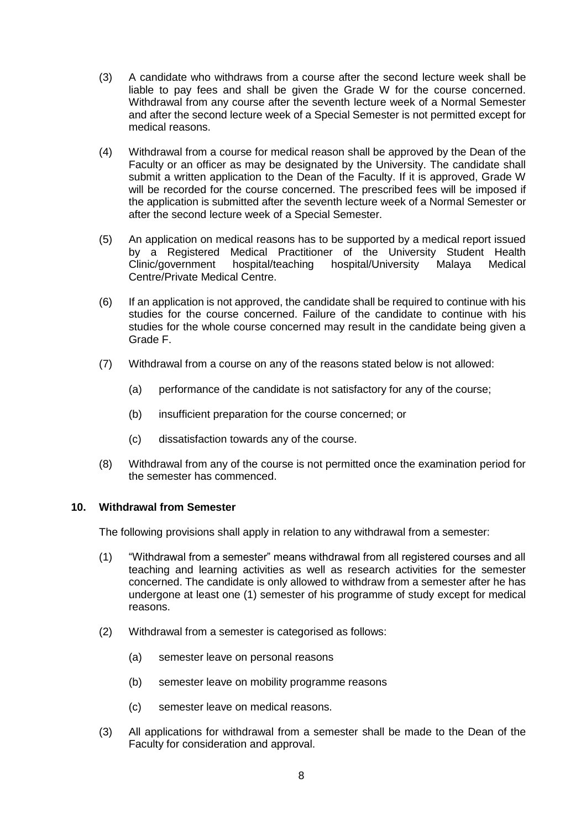- (3) A candidate who withdraws from a course after the second lecture week shall be liable to pay fees and shall be given the Grade W for the course concerned. Withdrawal from any course after the seventh lecture week of a Normal Semester and after the second lecture week of a Special Semester is not permitted except for medical reasons.
- (4) Withdrawal from a course for medical reason shall be approved by the Dean of the Faculty or an officer as may be designated by the University. The candidate shall submit a written application to the Dean of the Faculty. If it is approved, Grade W will be recorded for the course concerned. The prescribed fees will be imposed if the application is submitted after the seventh lecture week of a Normal Semester or after the second lecture week of a Special Semester.
- (5) An application on medical reasons has to be supported by a medical report issued by a Registered Medical Practitioner of the University Student Health Clinic/government hospital/teaching hospital/University Malaya Medical Centre/Private Medical Centre.
- (6) If an application is not approved, the candidate shall be required to continue with his studies for the course concerned. Failure of the candidate to continue with his studies for the whole course concerned may result in the candidate being given a Grade F.
- (7) Withdrawal from a course on any of the reasons stated below is not allowed:
	- (a) performance of the candidate is not satisfactory for any of the course;
	- (b) insufficient preparation for the course concerned; or
	- (c) dissatisfaction towards any of the course.
- (8) Withdrawal from any of the course is not permitted once the examination period for the semester has commenced.

#### **10. Withdrawal from Semester**

The following provisions shall apply in relation to any withdrawal from a semester:

- (1) "Withdrawal from a semester" means withdrawal from all registered courses and all teaching and learning activities as well as research activities for the semester concerned. The candidate is only allowed to withdraw from a semester after he has undergone at least one (1) semester of his programme of study except for medical reasons.
- (2) Withdrawal from a semester is categorised as follows:
	- (a) semester leave on personal reasons
	- (b) semester leave on mobility programme reasons
	- (c) semester leave on medical reasons.
- (3) All applications for withdrawal from a semester shall be made to the Dean of the Faculty for consideration and approval.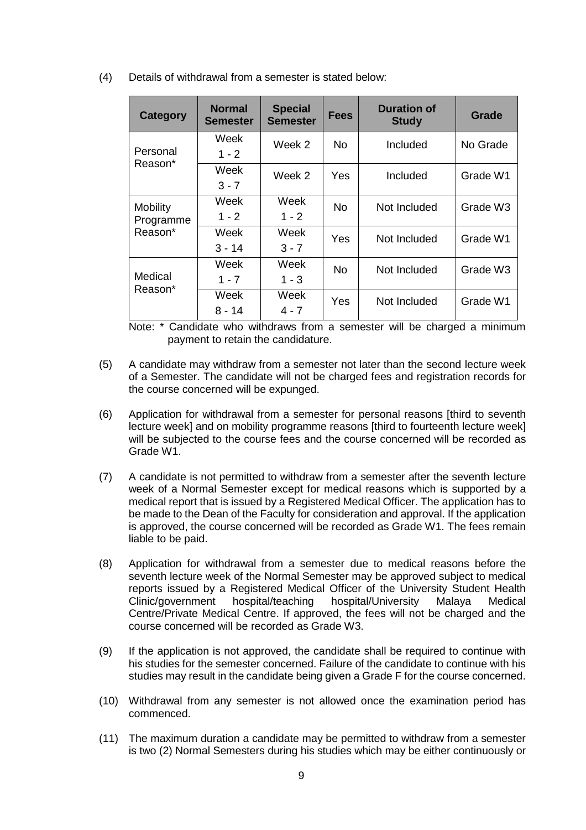(4) Details of withdrawal from a semester is stated below:

| <b>Category</b>              | <b>Normal</b><br><b>Semester</b>          | <b>Special</b><br><b>Semester</b> | <b>Fees</b>               | <b>Duration of</b><br><b>Study</b> | <b>Grade</b>         |
|------------------------------|-------------------------------------------|-----------------------------------|---------------------------|------------------------------------|----------------------|
| Personal                     | Week<br>$1 - 2$                           | Week 2                            | No.<br>Included           |                                    | No Grade             |
| Reason*                      | Week<br>$3 - 7$                           | Week 2                            | Yes                       | Included                           | Grade W1             |
| <b>Mobility</b><br>Programme | Week<br>Week<br>No.<br>$1 - 2$<br>$1 - 2$ | Not Included                      | Grade W3                  |                                    |                      |
| Reason*                      | Week<br>$3 - 14$                          | Week<br>$3 - 7$                   | Yes                       | Not Included                       | Grade W1             |
| Medical                      | Week<br>$1 - 7$                           | Week<br>$1 - 3$                   | <b>No</b><br>Not Included |                                    | Grade W <sub>3</sub> |
| Reason*                      | Week<br>8 - 14                            | Week<br>$4 - 7$                   | Yes                       | Not Included                       | Grade W1             |

Note: \* Candidate who withdraws from a semester will be charged a minimum payment to retain the candidature.

- (5) A candidate may withdraw from a semester not later than the second lecture week of a Semester. The candidate will not be charged fees and registration records for the course concerned will be expunged.
- (6) Application for withdrawal from a semester for personal reasons [third to seventh lecture week] and on mobility programme reasons [third to fourteenth lecture week] will be subjected to the course fees and the course concerned will be recorded as Grade W1.
- (7) A candidate is not permitted to withdraw from a semester after the seventh lecture week of a Normal Semester except for medical reasons which is supported by a medical report that is issued by a Registered Medical Officer. The application has to be made to the Dean of the Faculty for consideration and approval. If the application is approved, the course concerned will be recorded as Grade W1. The fees remain liable to be paid.
- (8) Application for withdrawal from a semester due to medical reasons before the seventh lecture week of the Normal Semester may be approved subject to medical reports issued by a Registered Medical Officer of the University Student Health Clinic/government hospital/teaching hospital/University Malaya Medical Centre/Private Medical Centre. If approved, the fees will not be charged and the course concerned will be recorded as Grade W3.
- (9) If the application is not approved, the candidate shall be required to continue with his studies for the semester concerned. Failure of the candidate to continue with his studies may result in the candidate being given a Grade F for the course concerned.
- (10) Withdrawal from any semester is not allowed once the examination period has commenced.
- (11) The maximum duration a candidate may be permitted to withdraw from a semester is two (2) Normal Semesters during his studies which may be either continuously or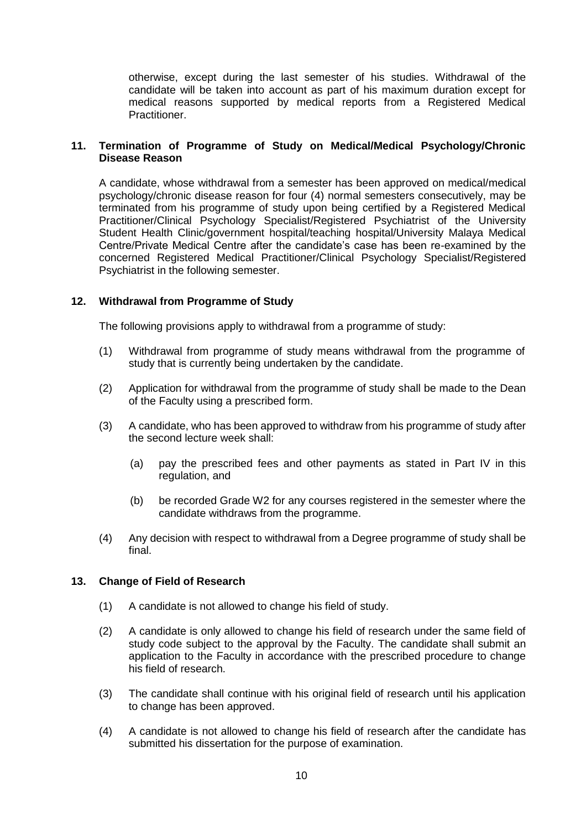otherwise, except during the last semester of his studies. Withdrawal of the candidate will be taken into account as part of his maximum duration except for medical reasons supported by medical reports from a Registered Medical Practitioner.

## **11. Termination of Programme of Study on Medical/Medical Psychology/Chronic Disease Reason**

A candidate, whose withdrawal from a semester has been approved on medical/medical psychology/chronic disease reason for four (4) normal semesters consecutively, may be terminated from his programme of study upon being certified by a Registered Medical Practitioner/Clinical Psychology Specialist/Registered Psychiatrist of the University Student Health Clinic/government hospital/teaching hospital/University Malaya Medical Centre/Private Medical Centre after the candidate's case has been re-examined by the concerned Registered Medical Practitioner/Clinical Psychology Specialist/Registered Psychiatrist in the following semester.

## **12. Withdrawal from Programme of Study**

The following provisions apply to withdrawal from a programme of study:

- (1) Withdrawal from programme of study means withdrawal from the programme of study that is currently being undertaken by the candidate.
- (2) Application for withdrawal from the programme of study shall be made to the Dean of the Faculty using a prescribed form.
- (3) A candidate, who has been approved to withdraw from his programme of study after the second lecture week shall:
	- (a) pay the prescribed fees and other payments as stated in Part IV in this regulation, and
	- (b) be recorded Grade W2 for any courses registered in the semester where the candidate withdraws from the programme.
- (4) Any decision with respect to withdrawal from a Degree programme of study shall be final.

## **13. Change of Field of Research**

- (1) A candidate is not allowed to change his field of study.
- (2) A candidate is only allowed to change his field of research under the same field of study code subject to the approval by the Faculty. The candidate shall submit an application to the Faculty in accordance with the prescribed procedure to change his field of research.
- (3) The candidate shall continue with his original field of research until his application to change has been approved.
- (4) A candidate is not allowed to change his field of research after the candidate has submitted his dissertation for the purpose of examination.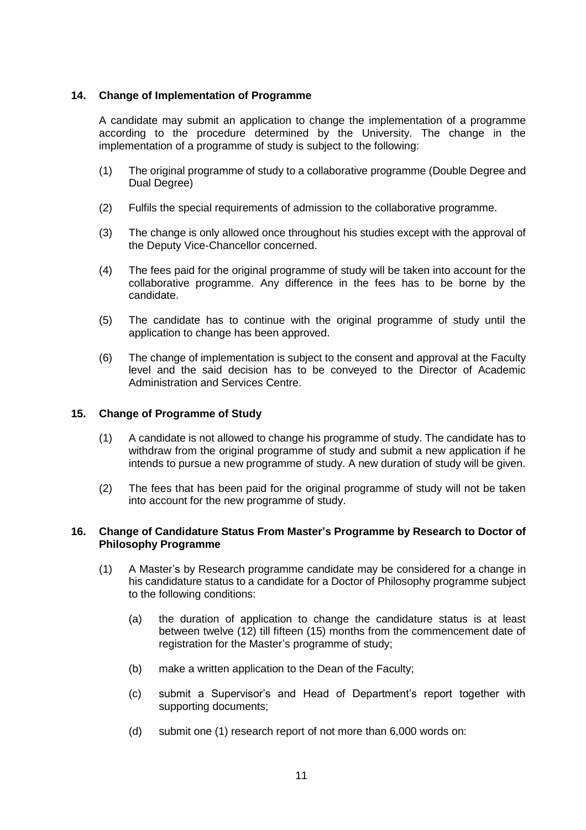## **14. Change of Implementation of Programme**

A candidate may submit an application to change the implementation of a programme according to the procedure determined by the University. The change in the implementation of a programme of study is subject to the following:

- (1) The original programme of study to a collaborative programme (Double Degree and Dual Degree)
- (2) Fulfils the special requirements of admission to the collaborative programme.
- (3) The change is only allowed once throughout his studies except with the approval of the Deputy Vice-Chancellor concerned.
- (4) The fees paid for the original programme of study will be taken into account for the collaborative programme. Any difference in the fees has to be borne by the candidate.
- (5) The candidate has to continue with the original programme of study until the application to change has been approved.
- (6) The change of implementation is subject to the consent and approval at the Faculty level and the said decision has to be conveyed to the Director of Academic Administration and Services Centre.

### **15. Change of Programme of Study**

- (1) A candidate is not allowed to change his programme of study. The candidate has to withdraw from the original programme of study and submit a new application if he intends to pursue a new programme of study. A new duration of study will be given.
- (2) The fees that has been paid for the original programme of study will not be taken into account for the new programme of study.

### **16. Change of Candidature Status From Master's Programme by Research to Doctor of Philosophy Programme**

- (1) A Master's by Research programme candidate may be considered for a change in his candidature status to a candidate for a Doctor of Philosophy programme subject to the following conditions:
	- (a) the duration of application to change the candidature status is at least between twelve (12) till fifteen (15) months from the commencement date of registration for the Master's programme of study;
	- (b) make a written application to the Dean of the Faculty;
	- (c) submit a Supervisor's and Head of Department's report together with supporting documents;
	- (d) submit one (1) research report of not more than 6,000 words on: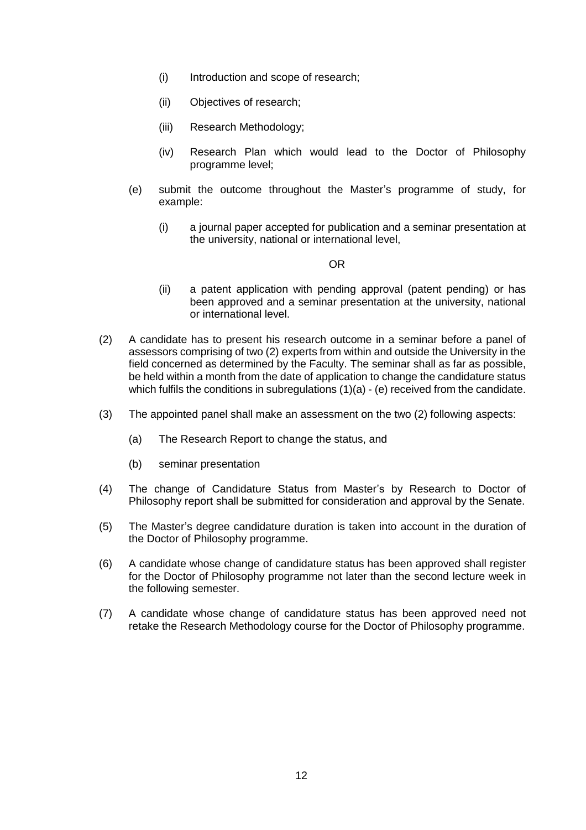- (i) Introduction and scope of research;
- (ii) Objectives of research;
- (iii) Research Methodology;
- (iv) Research Plan which would lead to the Doctor of Philosophy programme level;
- (e) submit the outcome throughout the Master's programme of study, for example:
	- (i) a journal paper accepted for publication and a seminar presentation at the university, national or international level,

## **OR** Service Service Service Service Service Service Service Service Service Service Service Service Service Se

- (ii) a patent application with pending approval (patent pending) or has been approved and a seminar presentation at the university, national or international level.
- (2) A candidate has to present his research outcome in a seminar before a panel of assessors comprising of two (2) experts from within and outside the University in the field concerned as determined by the Faculty. The seminar shall as far as possible, be held within a month from the date of application to change the candidature status which fulfils the conditions in subregulations (1)(a) - (e) received from the candidate.
- (3) The appointed panel shall make an assessment on the two (2) following aspects:
	- (a) The Research Report to change the status, and
	- (b) seminar presentation
- (4) The change of Candidature Status from Master's by Research to Doctor of Philosophy report shall be submitted for consideration and approval by the Senate.
- (5) The Master's degree candidature duration is taken into account in the duration of the Doctor of Philosophy programme.
- (6) A candidate whose change of candidature status has been approved shall register for the Doctor of Philosophy programme not later than the second lecture week in the following semester.
- (7) A candidate whose change of candidature status has been approved need not retake the Research Methodology course for the Doctor of Philosophy programme.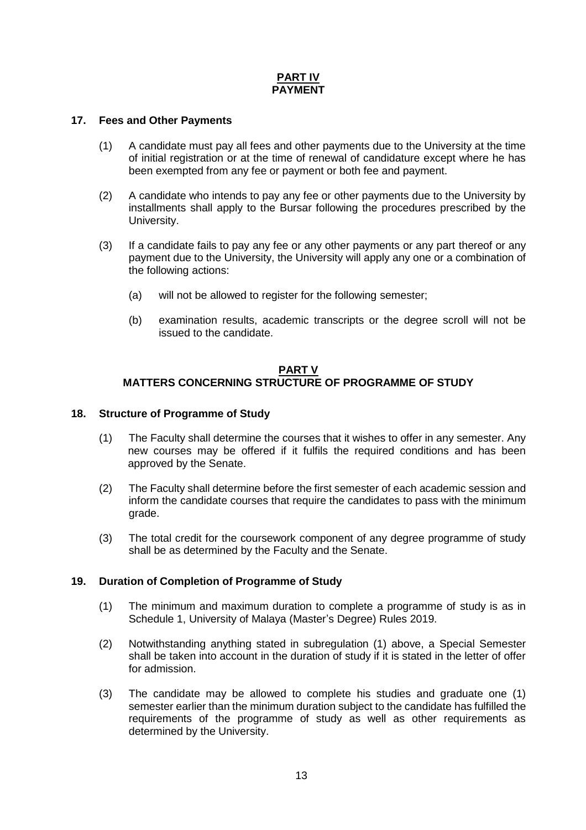# **PART IV PAYMENT**

### **17. Fees and Other Payments**

- (1) A candidate must pay all fees and other payments due to the University at the time of initial registration or at the time of renewal of candidature except where he has been exempted from any fee or payment or both fee and payment.
- (2) A candidate who intends to pay any fee or other payments due to the University by installments shall apply to the Bursar following the procedures prescribed by the University.
- (3) If a candidate fails to pay any fee or any other payments or any part thereof or any payment due to the University, the University will apply any one or a combination of the following actions:
	- (a) will not be allowed to register for the following semester;
	- (b) examination results, academic transcripts or the degree scroll will not be issued to the candidate.

### **PART V MATTERS CONCERNING STRUCTURE OF PROGRAMME OF STUDY**

### **18. Structure of Programme of Study**

- (1) The Faculty shall determine the courses that it wishes to offer in any semester. Any new courses may be offered if it fulfils the required conditions and has been approved by the Senate.
- (2) The Faculty shall determine before the first semester of each academic session and inform the candidate courses that require the candidates to pass with the minimum grade.
- (3) The total credit for the coursework component of any degree programme of study shall be as determined by the Faculty and the Senate.

## **19. Duration of Completion of Programme of Study**

- (1) The minimum and maximum duration to complete a programme of study is as in Schedule 1, University of Malaya (Master's Degree) Rules 2019.
- (2) Notwithstanding anything stated in subregulation (1) above, a Special Semester shall be taken into account in the duration of study if it is stated in the letter of offer for admission.
- (3) The candidate may be allowed to complete his studies and graduate one (1) semester earlier than the minimum duration subject to the candidate has fulfilled the requirements of the programme of study as well as other requirements as determined by the University.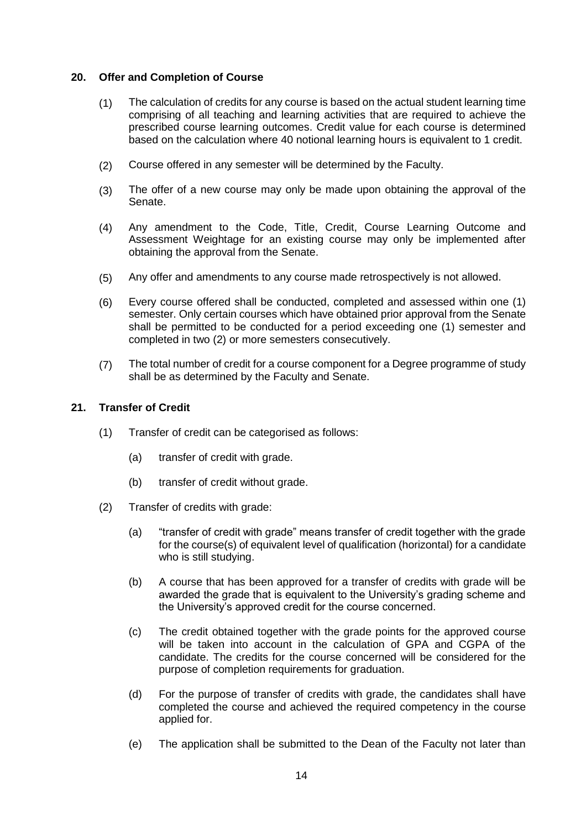### **20. Offer and Completion of Course**

- (1) The calculation of credits for any course is based on the actual student learning time comprising of all teaching and learning activities that are required to achieve the prescribed course learning outcomes. Credit value for each course is determined based on the calculation where 40 notional learning hours is equivalent to 1 credit.
- (2) Course offered in any semester will be determined by the Faculty.
- (3) The offer of a new course may only be made upon obtaining the approval of the Senate.
- (4) Any amendment to the Code, Title, Credit, Course Learning Outcome and Assessment Weightage for an existing course may only be implemented after obtaining the approval from the Senate.
- (5) Any offer and amendments to any course made retrospectively is not allowed.
- (6) Every course offered shall be conducted, completed and assessed within one (1) semester. Only certain courses which have obtained prior approval from the Senate shall be permitted to be conducted for a period exceeding one (1) semester and completed in two (2) or more semesters consecutively.
- (7) The total number of credit for a course component for a Degree programme of study shall be as determined by the Faculty and Senate.

### **21. Transfer of Credit**

- (1) Transfer of credit can be categorised as follows:
	- (a) transfer of credit with grade.
	- (b) transfer of credit without grade.
- (2) Transfer of credits with grade:
	- (a) "transfer of credit with grade" means transfer of credit together with the grade for the course(s) of equivalent level of qualification (horizontal) for a candidate who is still studying.
	- (b) A course that has been approved for a transfer of credits with grade will be awarded the grade that is equivalent to the University's grading scheme and the University's approved credit for the course concerned.
	- (c) The credit obtained together with the grade points for the approved course will be taken into account in the calculation of GPA and CGPA of the candidate. The credits for the course concerned will be considered for the purpose of completion requirements for graduation.
	- (d) For the purpose of transfer of credits with grade, the candidates shall have completed the course and achieved the required competency in the course applied for.
	- (e) The application shall be submitted to the Dean of the Faculty not later than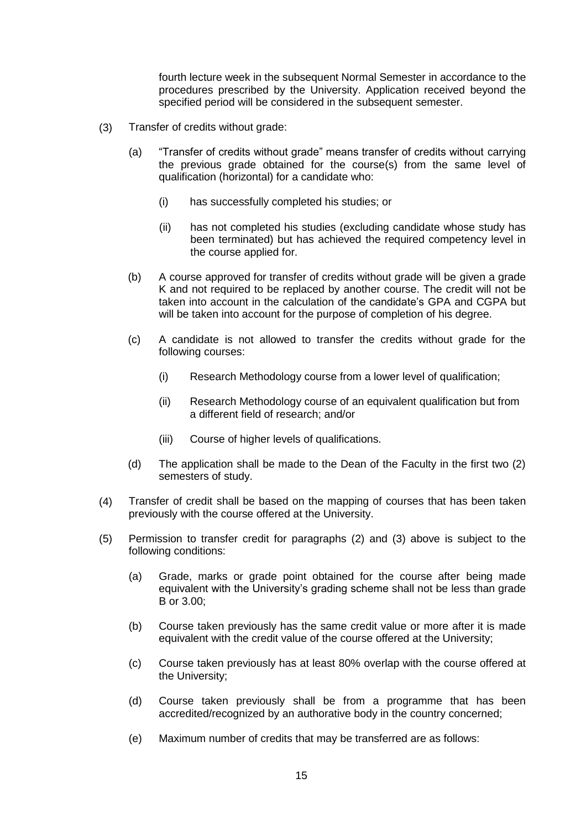fourth lecture week in the subsequent Normal Semester in accordance to the procedures prescribed by the University. Application received beyond the specified period will be considered in the subsequent semester.

- (3) Transfer of credits without grade:
	- (a) "Transfer of credits without grade" means transfer of credits without carrying the previous grade obtained for the course(s) from the same level of qualification (horizontal) for a candidate who:
		- (i) has successfully completed his studies; or
		- (ii) has not completed his studies (excluding candidate whose study has been terminated) but has achieved the required competency level in the course applied for.
	- (b) A course approved for transfer of credits without grade will be given a grade K and not required to be replaced by another course. The credit will not be taken into account in the calculation of the candidate's GPA and CGPA but will be taken into account for the purpose of completion of his degree.
	- (c) A candidate is not allowed to transfer the credits without grade for the following courses:
		- (i) Research Methodology course from a lower level of qualification;
		- (ii) Research Methodology course of an equivalent qualification but from a different field of research; and/or
		- (iii) Course of higher levels of qualifications.
	- (d) The application shall be made to the Dean of the Faculty in the first two (2) semesters of study.
- (4) Transfer of credit shall be based on the mapping of courses that has been taken previously with the course offered at the University.
- (5) Permission to transfer credit for paragraphs (2) and (3) above is subject to the following conditions:
	- (a) Grade, marks or grade point obtained for the course after being made equivalent with the University's grading scheme shall not be less than grade B or 3.00;
	- (b) Course taken previously has the same credit value or more after it is made equivalent with the credit value of the course offered at the University;
	- (c) Course taken previously has at least 80% overlap with the course offered at the University;
	- (d) Course taken previously shall be from a programme that has been accredited/recognized by an authorative body in the country concerned;
	- (e) Maximum number of credits that may be transferred are as follows: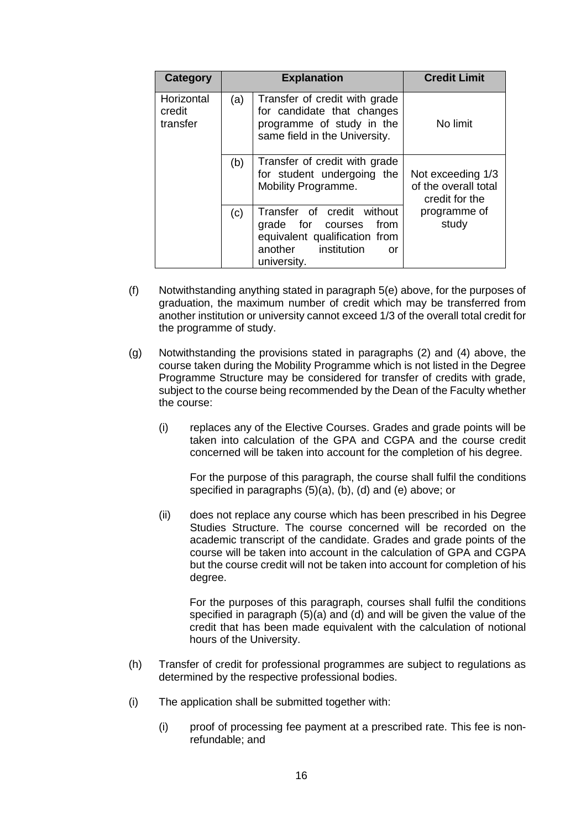| Category                         |     | <b>Explanation</b>                                                                                                                | <b>Credit Limit</b>                                         |
|----------------------------------|-----|-----------------------------------------------------------------------------------------------------------------------------------|-------------------------------------------------------------|
| Horizontal<br>credit<br>transfer | (a) | Transfer of credit with grade<br>for candidate that changes<br>programme of study in the<br>same field in the University.         | No limit                                                    |
|                                  | (b) | Transfer of credit with grade<br>for student undergoing the<br>Mobility Programme.                                                | Not exceeding 1/3<br>of the overall total<br>credit for the |
|                                  | (c) | Transfer of credit without<br>grade for courses from<br>equivalent qualification from<br>another institution<br>or<br>university. | programme of<br>study                                       |

- (f) Notwithstanding anything stated in paragraph 5(e) above, for the purposes of graduation, the maximum number of credit which may be transferred from another institution or university cannot exceed 1/3 of the overall total credit for the programme of study.
- (g) Notwithstanding the provisions stated in paragraphs (2) and (4) above, the course taken during the Mobility Programme which is not listed in the Degree Programme Structure may be considered for transfer of credits with grade, subject to the course being recommended by the Dean of the Faculty whether the course:
	- (i) replaces any of the Elective Courses. Grades and grade points will be taken into calculation of the GPA and CGPA and the course credit concerned will be taken into account for the completion of his degree.

For the purpose of this paragraph, the course shall fulfil the conditions specified in paragraphs (5)(a), (b), (d) and (e) above; or

(ii) does not replace any course which has been prescribed in his Degree Studies Structure. The course concerned will be recorded on the academic transcript of the candidate. Grades and grade points of the course will be taken into account in the calculation of GPA and CGPA but the course credit will not be taken into account for completion of his degree.

For the purposes of this paragraph, courses shall fulfil the conditions specified in paragraph (5)(a) and (d) and will be given the value of the credit that has been made equivalent with the calculation of notional hours of the University.

- (h) Transfer of credit for professional programmes are subject to regulations as determined by the respective professional bodies.
- (i) The application shall be submitted together with:
	- (i) proof of processing fee payment at a prescribed rate. This fee is nonrefundable; and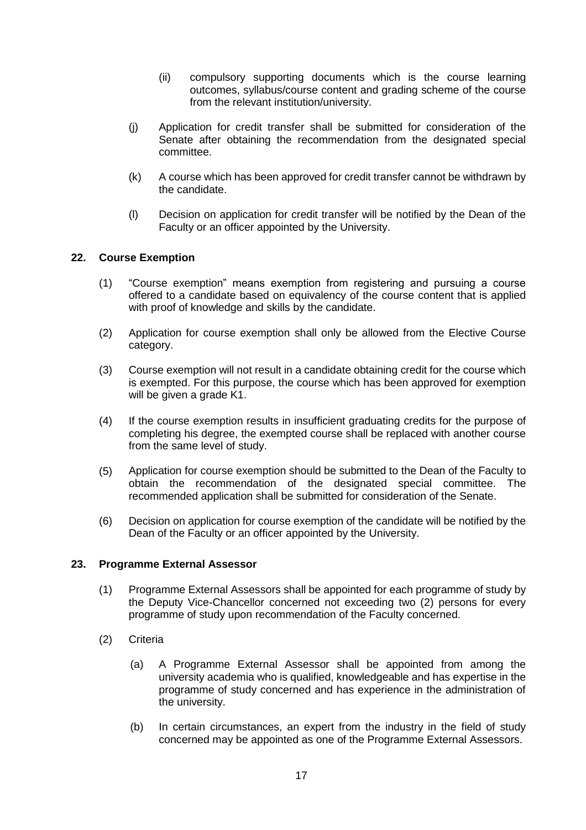- (ii) compulsory supporting documents which is the course learning outcomes, syllabus/course content and grading scheme of the course from the relevant institution/university.
- (j) Application for credit transfer shall be submitted for consideration of the Senate after obtaining the recommendation from the designated special committee.
- (k) A course which has been approved for credit transfer cannot be withdrawn by the candidate.
- (l) Decision on application for credit transfer will be notified by the Dean of the Faculty or an officer appointed by the University.

## **22. Course Exemption**

- (1) "Course exemption" means exemption from registering and pursuing a course offered to a candidate based on equivalency of the course content that is applied with proof of knowledge and skills by the candidate.
- (2) Application for course exemption shall only be allowed from the Elective Course category.
- (3) Course exemption will not result in a candidate obtaining credit for the course which is exempted. For this purpose, the course which has been approved for exemption will be given a grade K1.
- (4) If the course exemption results in insufficient graduating credits for the purpose of completing his degree, the exempted course shall be replaced with another course from the same level of study.
- (5) Application for course exemption should be submitted to the Dean of the Faculty to obtain the recommendation of the designated special committee. The recommended application shall be submitted for consideration of the Senate.
- (6) Decision on application for course exemption of the candidate will be notified by the Dean of the Faculty or an officer appointed by the University.

### **23. Programme External Assessor**

- (1) Programme External Assessors shall be appointed for each programme of study by the Deputy Vice-Chancellor concerned not exceeding two (2) persons for every programme of study upon recommendation of the Faculty concerned.
- (2) Criteria
	- (a) A Programme External Assessor shall be appointed from among the university academia who is qualified, knowledgeable and has expertise in the programme of study concerned and has experience in the administration of the university.
	- (b) In certain circumstances, an expert from the industry in the field of study concerned may be appointed as one of the Programme External Assessors.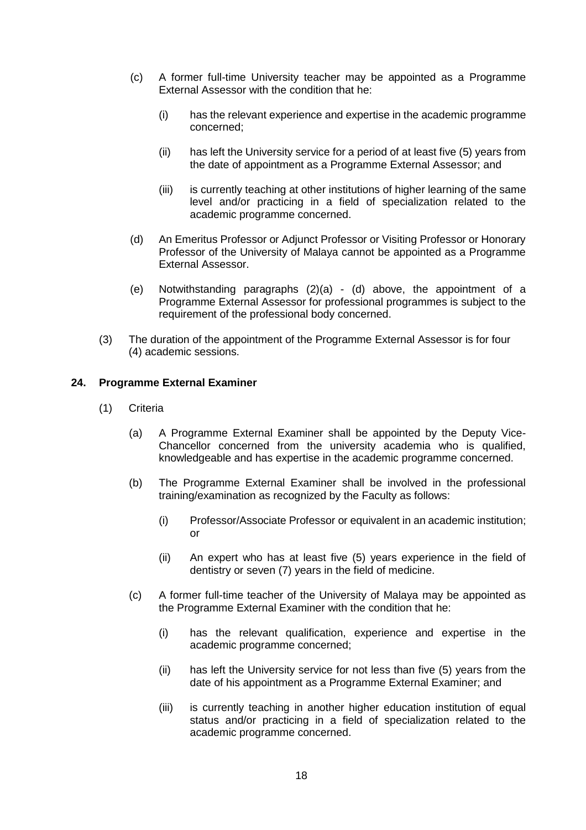- (c) A former full-time University teacher may be appointed as a Programme External Assessor with the condition that he:
	- (i) has the relevant experience and expertise in the academic programme concerned;
	- (ii) has left the University service for a period of at least five (5) years from the date of appointment as a Programme External Assessor; and
	- (iii) is currently teaching at other institutions of higher learning of the same level and/or practicing in a field of specialization related to the academic programme concerned.
- (d) An Emeritus Professor or Adjunct Professor or Visiting Professor or Honorary Professor of the University of Malaya cannot be appointed as a Programme External Assessor.
- (e) Notwithstanding paragraphs  $(2)(a) (d)$  above, the appointment of a Programme External Assessor for professional programmes is subject to the requirement of the professional body concerned.
- (3) The duration of the appointment of the Programme External Assessor is for four (4) academic sessions.

## **24. Programme External Examiner**

- (1) Criteria
	- (a) A Programme External Examiner shall be appointed by the Deputy Vice-Chancellor concerned from the university academia who is qualified, knowledgeable and has expertise in the academic programme concerned.
	- (b) The Programme External Examiner shall be involved in the professional training/examination as recognized by the Faculty as follows:
		- (i) Professor/Associate Professor or equivalent in an academic institution; or
		- (ii) An expert who has at least five (5) years experience in the field of dentistry or seven (7) years in the field of medicine.
	- (c) A former full-time teacher of the University of Malaya may be appointed as the Programme External Examiner with the condition that he:
		- (i) has the relevant qualification, experience and expertise in the academic programme concerned;
		- (ii) has left the University service for not less than five (5) years from the date of his appointment as a Programme External Examiner; and
		- (iii) is currently teaching in another higher education institution of equal status and/or practicing in a field of specialization related to the academic programme concerned.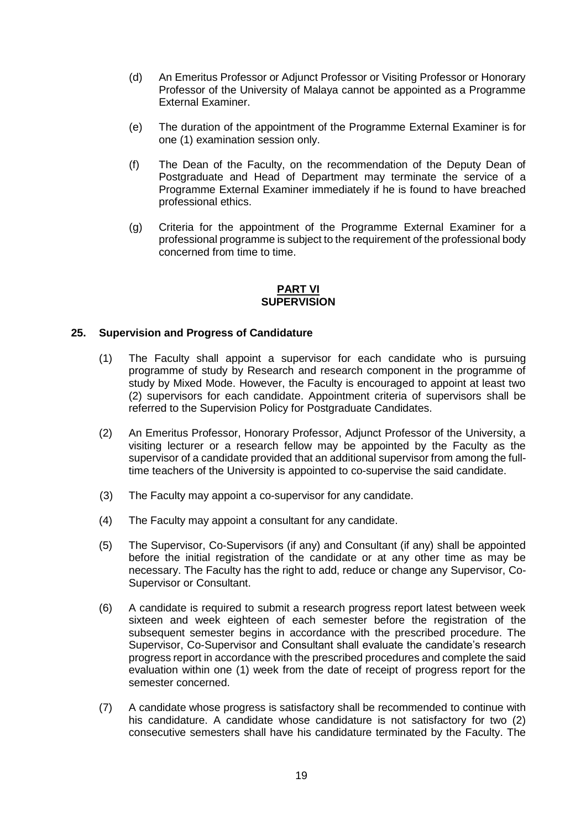- (d) An Emeritus Professor or Adjunct Professor or Visiting Professor or Honorary Professor of the University of Malaya cannot be appointed as a Programme External Examiner.
- (e) The duration of the appointment of the Programme External Examiner is for one (1) examination session only.
- (f) The Dean of the Faculty, on the recommendation of the Deputy Dean of Postgraduate and Head of Department may terminate the service of a Programme External Examiner immediately if he is found to have breached professional ethics.
- (g) Criteria for the appointment of the Programme External Examiner for a professional programme is subject to the requirement of the professional body concerned from time to time.

### **PART VI SUPERVISION**

## **25. Supervision and Progress of Candidature**

- (1) The Faculty shall appoint a supervisor for each candidate who is pursuing programme of study by Research and research component in the programme of study by Mixed Mode. However, the Faculty is encouraged to appoint at least two (2) supervisors for each candidate. Appointment criteria of supervisors shall be referred to the Supervision Policy for Postgraduate Candidates.
- (2) An Emeritus Professor, Honorary Professor, Adjunct Professor of the University, a visiting lecturer or a research fellow may be appointed by the Faculty as the supervisor of a candidate provided that an additional supervisor from among the fulltime teachers of the University is appointed to co-supervise the said candidate.
- (3) The Faculty may appoint a co-supervisor for any candidate.
- (4) The Faculty may appoint a consultant for any candidate.
- (5) The Supervisor, Co-Supervisors (if any) and Consultant (if any) shall be appointed before the initial registration of the candidate or at any other time as may be necessary. The Faculty has the right to add, reduce or change any Supervisor, Co-Supervisor or Consultant.
- (6) A candidate is required to submit a research progress report latest between week sixteen and week eighteen of each semester before the registration of the subsequent semester begins in accordance with the prescribed procedure. The Supervisor, Co-Supervisor and Consultant shall evaluate the candidate's research progress report in accordance with the prescribed procedures and complete the said evaluation within one (1) week from the date of receipt of progress report for the semester concerned.
- (7) A candidate whose progress is satisfactory shall be recommended to continue with his candidature. A candidate whose candidature is not satisfactory for two (2) consecutive semesters shall have his candidature terminated by the Faculty. The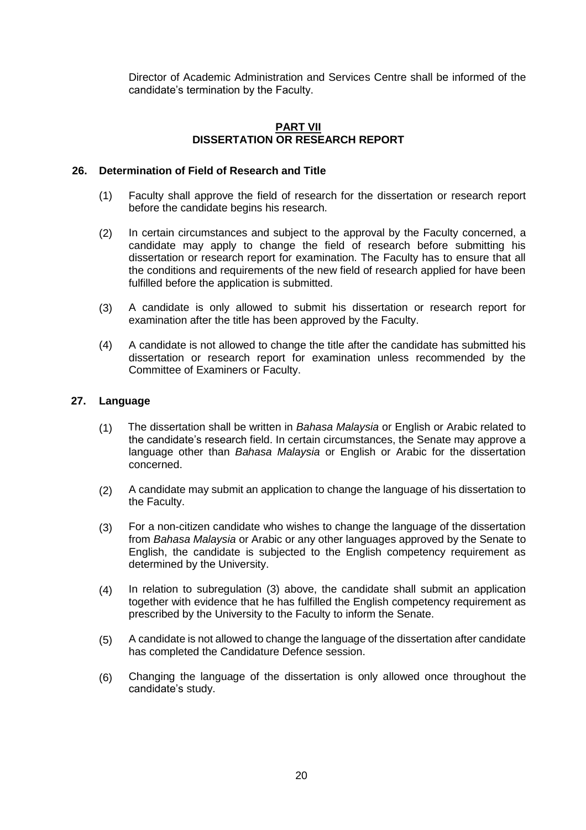Director of Academic Administration and Services Centre shall be informed of the candidate's termination by the Faculty.

## **PART VII DISSERTATION OR RESEARCH REPORT**

### **26. Determination of Field of Research and Title**

- (1) Faculty shall approve the field of research for the dissertation or research report before the candidate begins his research.
- (2) In certain circumstances and subject to the approval by the Faculty concerned, a candidate may apply to change the field of research before submitting his dissertation or research report for examination. The Faculty has to ensure that all the conditions and requirements of the new field of research applied for have been fulfilled before the application is submitted.
- (3) A candidate is only allowed to submit his dissertation or research report for examination after the title has been approved by the Faculty.
- (4) A candidate is not allowed to change the title after the candidate has submitted his dissertation or research report for examination unless recommended by the Committee of Examiners or Faculty.

## **27. Language**

- (1) The dissertation shall be written in *Bahasa Malaysia* or English or Arabic related to the candidate's research field. In certain circumstances, the Senate may approve a language other than *Bahasa Malaysia* or English or Arabic for the dissertation concerned.
- (2) A candidate may submit an application to change the language of his dissertation to the Faculty.
- (3) For a non-citizen candidate who wishes to change the language of the dissertation from *Bahasa Malaysia* or Arabic or any other languages approved by the Senate to English, the candidate is subjected to the English competency requirement as determined by the University.
- (4) In relation to subregulation (3) above, the candidate shall submit an application together with evidence that he has fulfilled the English competency requirement as prescribed by the University to the Faculty to inform the Senate.
- (5) A candidate is not allowed to change the language of the dissertation after candidate has completed the Candidature Defence session.
- (6) Changing the language of the dissertation is only allowed once throughout the candidate's study.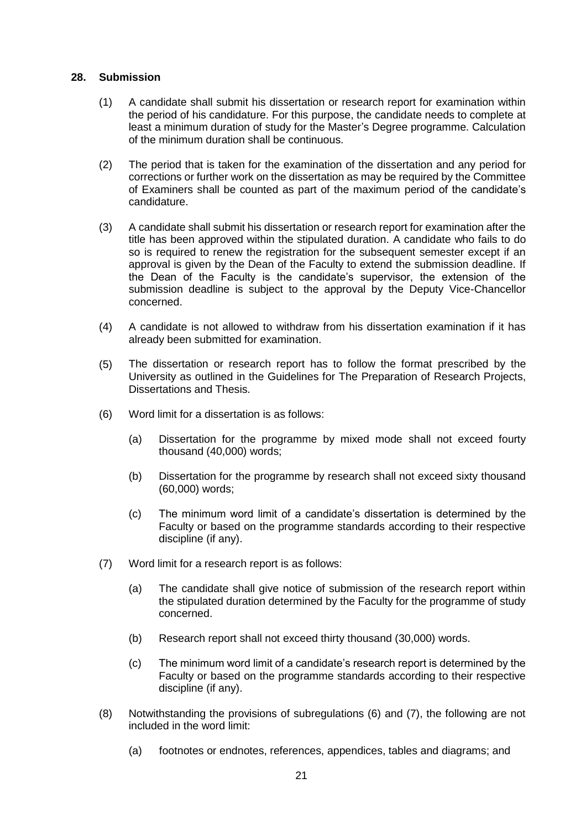#### **28. Submission**

- (1) A candidate shall submit his dissertation or research report for examination within the period of his candidature. For this purpose, the candidate needs to complete at least a minimum duration of study for the Master's Degree programme. Calculation of the minimum duration shall be continuous.
- (2) The period that is taken for the examination of the dissertation and any period for corrections or further work on the dissertation as may be required by the Committee of Examiners shall be counted as part of the maximum period of the candidate's candidature.
- (3) A candidate shall submit his dissertation or research report for examination after the title has been approved within the stipulated duration. A candidate who fails to do so is required to renew the registration for the subsequent semester except if an approval is given by the Dean of the Faculty to extend the submission deadline. If the Dean of the Faculty is the candidate's supervisor, the extension of the submission deadline is subject to the approval by the Deputy Vice-Chancellor concerned.
- (4) A candidate is not allowed to withdraw from his dissertation examination if it has already been submitted for examination.
- (5) The dissertation or research report has to follow the format prescribed by the University as outlined in the Guidelines for The Preparation of Research Projects, Dissertations and Thesis.
- (6) Word limit for a dissertation is as follows:
	- (a) Dissertation for the programme by mixed mode shall not exceed fourty thousand (40,000) words;
	- (b) Dissertation for the programme by research shall not exceed sixty thousand (60,000) words;
	- (c) The minimum word limit of a candidate's dissertation is determined by the Faculty or based on the programme standards according to their respective discipline (if any).
- (7) Word limit for a research report is as follows:
	- (a) The candidate shall give notice of submission of the research report within the stipulated duration determined by the Faculty for the programme of study concerned.
	- (b) Research report shall not exceed thirty thousand (30,000) words.
	- (c) The minimum word limit of a candidate's research report is determined by the Faculty or based on the programme standards according to their respective discipline (if any).
- (8) Notwithstanding the provisions of subregulations (6) and (7), the following are not included in the word limit:
	- (a) footnotes or endnotes, references, appendices, tables and diagrams; and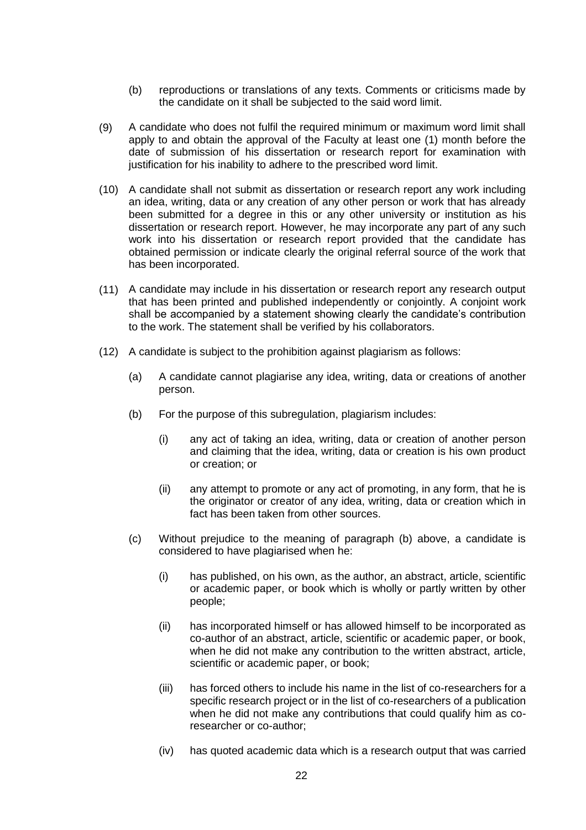- (b) reproductions or translations of any texts. Comments or criticisms made by the candidate on it shall be subjected to the said word limit.
- (9) A candidate who does not fulfil the required minimum or maximum word limit shall apply to and obtain the approval of the Faculty at least one (1) month before the date of submission of his dissertation or research report for examination with justification for his inability to adhere to the prescribed word limit.
- (10) A candidate shall not submit as dissertation or research report any work including an idea, writing, data or any creation of any other person or work that has already been submitted for a degree in this or any other university or institution as his dissertation or research report. However, he may incorporate any part of any such work into his dissertation or research report provided that the candidate has obtained permission or indicate clearly the original referral source of the work that has been incorporated.
- (11) A candidate may include in his dissertation or research report any research output that has been printed and published independently or conjointly. A conjoint work shall be accompanied by a statement showing clearly the candidate's contribution to the work. The statement shall be verified by his collaborators.
- (12) A candidate is subject to the prohibition against plagiarism as follows:
	- (a) A candidate cannot plagiarise any idea, writing, data or creations of another person.
	- (b) For the purpose of this subregulation, plagiarism includes:
		- (i) any act of taking an idea, writing, data or creation of another person and claiming that the idea, writing, data or creation is his own product or creation; or
		- (ii) any attempt to promote or any act of promoting, in any form, that he is the originator or creator of any idea, writing, data or creation which in fact has been taken from other sources.
	- (c) Without prejudice to the meaning of paragraph (b) above, a candidate is considered to have plagiarised when he:
		- (i) has published, on his own, as the author, an abstract, article, scientific or academic paper, or book which is wholly or partly written by other people;
		- (ii) has incorporated himself or has allowed himself to be incorporated as co-author of an abstract, article, scientific or academic paper, or book, when he did not make any contribution to the written abstract, article, scientific or academic paper, or book;
		- (iii) has forced others to include his name in the list of co-researchers for a specific research project or in the list of co-researchers of a publication when he did not make any contributions that could qualify him as coresearcher or co-author;
		- (iv) has quoted academic data which is a research output that was carried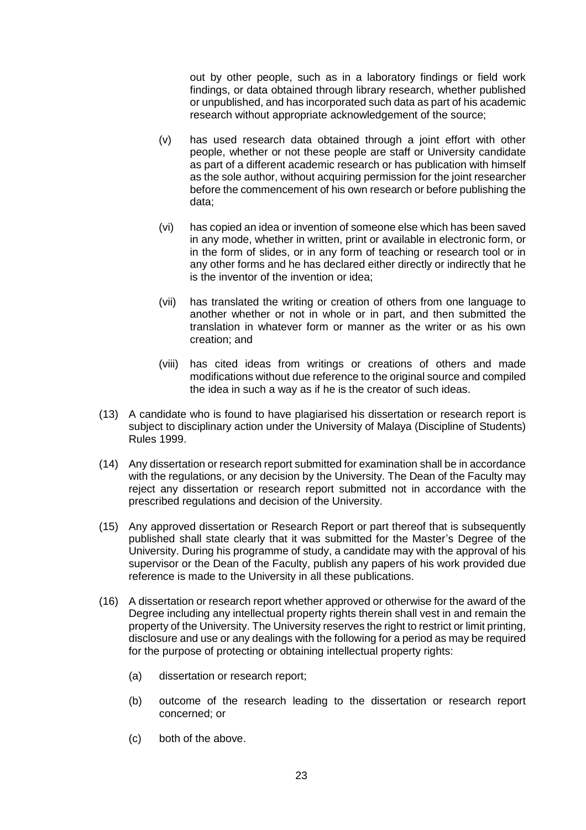out by other people, such as in a laboratory findings or field work findings, or data obtained through library research, whether published or unpublished, and has incorporated such data as part of his academic research without appropriate acknowledgement of the source;

- (v) has used research data obtained through a joint effort with other people, whether or not these people are staff or University candidate as part of a different academic research or has publication with himself as the sole author, without acquiring permission for the joint researcher before the commencement of his own research or before publishing the data;
- (vi) has copied an idea or invention of someone else which has been saved in any mode, whether in written, print or available in electronic form, or in the form of slides, or in any form of teaching or research tool or in any other forms and he has declared either directly or indirectly that he is the inventor of the invention or idea;
- (vii) has translated the writing or creation of others from one language to another whether or not in whole or in part, and then submitted the translation in whatever form or manner as the writer or as his own creation; and
- (viii) has cited ideas from writings or creations of others and made modifications without due reference to the original source and compiled the idea in such a way as if he is the creator of such ideas.
- (13) A candidate who is found to have plagiarised his dissertation or research report is subject to disciplinary action under the University of Malaya (Discipline of Students) Rules 1999.
- (14) Any dissertation or research report submitted for examination shall be in accordance with the regulations, or any decision by the University. The Dean of the Faculty may reject any dissertation or research report submitted not in accordance with the prescribed regulations and decision of the University.
- (15) Any approved dissertation or Research Report or part thereof that is subsequently published shall state clearly that it was submitted for the Master's Degree of the University. During his programme of study, a candidate may with the approval of his supervisor or the Dean of the Faculty, publish any papers of his work provided due reference is made to the University in all these publications.
- (16) A dissertation or research report whether approved or otherwise for the award of the Degree including any intellectual property rights therein shall vest in and remain the property of the University. The University reserves the right to restrict or limit printing, disclosure and use or any dealings with the following for a period as may be required for the purpose of protecting or obtaining intellectual property rights:
	- (a) dissertation or research report;
	- (b) outcome of the research leading to the dissertation or research report concerned; or
	- (c) both of the above.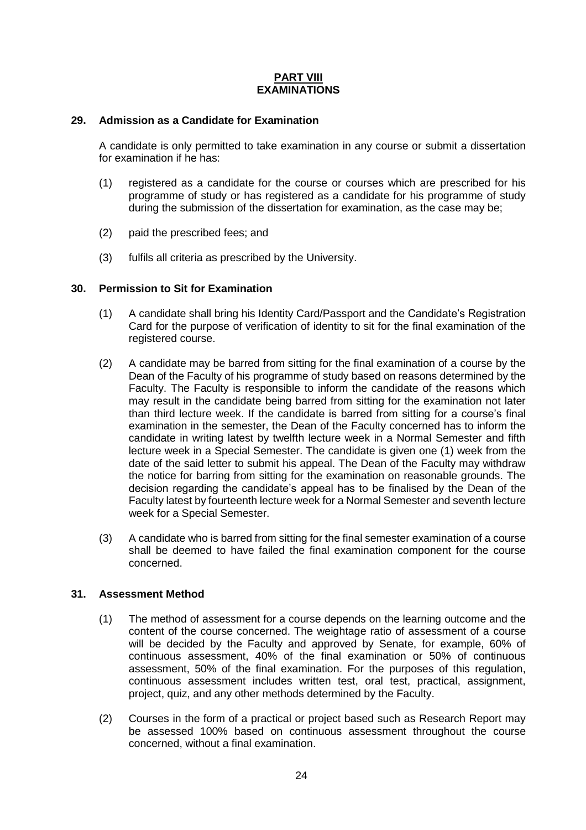## **PART VIII EXAMINATIONS**

### **29. Admission as a Candidate for Examination**

A candidate is only permitted to take examination in any course or submit a dissertation for examination if he has:

- (1) registered as a candidate for the course or courses which are prescribed for his programme of study or has registered as a candidate for his programme of study during the submission of the dissertation for examination, as the case may be;
- (2) paid the prescribed fees; and
- (3) fulfils all criteria as prescribed by the University.

### **30. Permission to Sit for Examination**

- (1) A candidate shall bring his Identity Card/Passport and the Candidate's Registration Card for the purpose of verification of identity to sit for the final examination of the registered course.
- (2) A candidate may be barred from sitting for the final examination of a course by the Dean of the Faculty of his programme of study based on reasons determined by the Faculty. The Faculty is responsible to inform the candidate of the reasons which may result in the candidate being barred from sitting for the examination not later than third lecture week. If the candidate is barred from sitting for a course's final examination in the semester, the Dean of the Faculty concerned has to inform the candidate in writing latest by twelfth lecture week in a Normal Semester and fifth lecture week in a Special Semester. The candidate is given one (1) week from the date of the said letter to submit his appeal. The Dean of the Faculty may withdraw the notice for barring from sitting for the examination on reasonable grounds. The decision regarding the candidate's appeal has to be finalised by the Dean of the Faculty latest by fourteenth lecture week for a Normal Semester and seventh lecture week for a Special Semester.
- (3) A candidate who is barred from sitting for the final semester examination of a course shall be deemed to have failed the final examination component for the course concerned.

#### **31. Assessment Method**

- (1) The method of assessment for a course depends on the learning outcome and the content of the course concerned. The weightage ratio of assessment of a course will be decided by the Faculty and approved by Senate, for example, 60% of continuous assessment, 40% of the final examination or 50% of continuous assessment, 50% of the final examination. For the purposes of this regulation, continuous assessment includes written test, oral test, practical, assignment, project, quiz, and any other methods determined by the Faculty.
- (2) Courses in the form of a practical or project based such as Research Report may be assessed 100% based on continuous assessment throughout the course concerned, without a final examination.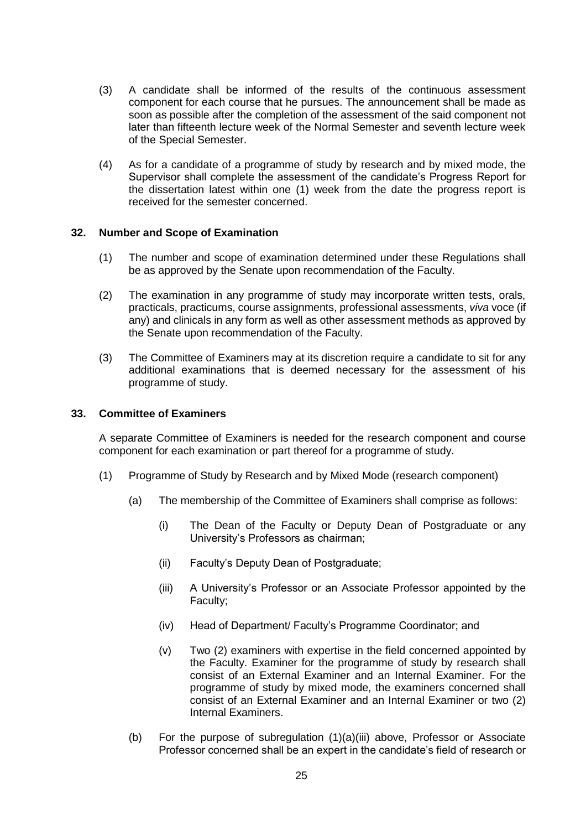- (3) A candidate shall be informed of the results of the continuous assessment component for each course that he pursues. The announcement shall be made as soon as possible after the completion of the assessment of the said component not later than fifteenth lecture week of the Normal Semester and seventh lecture week of the Special Semester.
- (4) As for a candidate of a programme of study by research and by mixed mode, the Supervisor shall complete the assessment of the candidate's Progress Report for the dissertation latest within one (1) week from the date the progress report is received for the semester concerned.

## **32. Number and Scope of Examination**

- (1) The number and scope of examination determined under these Regulations shall be as approved by the Senate upon recommendation of the Faculty.
- (2) The examination in any programme of study may incorporate written tests, orals, practicals, practicums, course assignments, professional assessments, *viva* voce (if any) and clinicals in any form as well as other assessment methods as approved by the Senate upon recommendation of the Faculty.
- (3) The Committee of Examiners may at its discretion require a candidate to sit for any additional examinations that is deemed necessary for the assessment of his programme of study.

## **33. Committee of Examiners**

A separate Committee of Examiners is needed for the research component and course component for each examination or part thereof for a programme of study.

- (1) Programme of Study by Research and by Mixed Mode (research component)
	- (a) The membership of the Committee of Examiners shall comprise as follows:
		- (i) The Dean of the Faculty or Deputy Dean of Postgraduate or any University's Professors as chairman;
		- (ii) Faculty's Deputy Dean of Postgraduate;
		- (iii) A University's Professor or an Associate Professor appointed by the Faculty;
		- (iv) Head of Department/ Faculty's Programme Coordinator; and
		- (v) Two (2) examiners with expertise in the field concerned appointed by the Faculty. Examiner for the programme of study by research shall consist of an External Examiner and an Internal Examiner. For the programme of study by mixed mode, the examiners concerned shall consist of an External Examiner and an Internal Examiner or two (2) Internal Examiners.
	- (b) For the purpose of subregulation (1)(a)(iii) above, Professor or Associate Professor concerned shall be an expert in the candidate's field of research or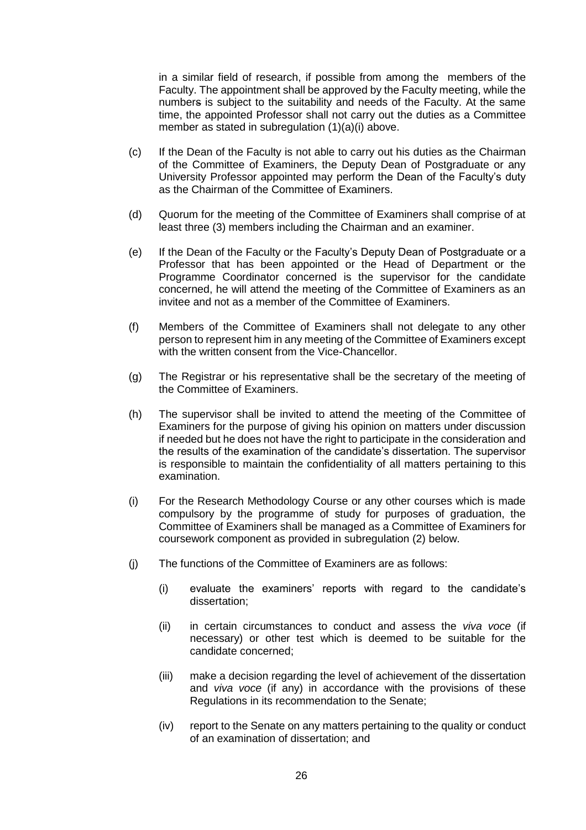in a similar field of research, if possible from among the members of the Faculty. The appointment shall be approved by the Faculty meeting, while the numbers is subject to the suitability and needs of the Faculty. At the same time, the appointed Professor shall not carry out the duties as a Committee member as stated in subregulation (1)(a)(i) above.

- (c) If the Dean of the Faculty is not able to carry out his duties as the Chairman of the Committee of Examiners, the Deputy Dean of Postgraduate or any University Professor appointed may perform the Dean of the Faculty's duty as the Chairman of the Committee of Examiners.
- (d) Quorum for the meeting of the Committee of Examiners shall comprise of at least three (3) members including the Chairman and an examiner.
- (e) If the Dean of the Faculty or the Faculty's Deputy Dean of Postgraduate or a Professor that has been appointed or the Head of Department or the Programme Coordinator concerned is the supervisor for the candidate concerned, he will attend the meeting of the Committee of Examiners as an invitee and not as a member of the Committee of Examiners.
- (f) Members of the Committee of Examiners shall not delegate to any other person to represent him in any meeting of the Committee of Examiners except with the written consent from the Vice-Chancellor.
- (g) The Registrar or his representative shall be the secretary of the meeting of the Committee of Examiners.
- (h) The supervisor shall be invited to attend the meeting of the Committee of Examiners for the purpose of giving his opinion on matters under discussion if needed but he does not have the right to participate in the consideration and the results of the examination of the candidate's dissertation. The supervisor is responsible to maintain the confidentiality of all matters pertaining to this examination.
- (i) For the Research Methodology Course or any other courses which is made compulsory by the programme of study for purposes of graduation, the Committee of Examiners shall be managed as a Committee of Examiners for coursework component as provided in subregulation (2) below.
- (j) The functions of the Committee of Examiners are as follows:
	- (i) evaluate the examiners' reports with regard to the candidate's dissertation;
	- (ii) in certain circumstances to conduct and assess the *viva voce* (if necessary) or other test which is deemed to be suitable for the candidate concerned;
	- (iii) make a decision regarding the level of achievement of the dissertation and *viva voce* (if any) in accordance with the provisions of these Regulations in its recommendation to the Senate;
	- (iv) report to the Senate on any matters pertaining to the quality or conduct of an examination of dissertation; and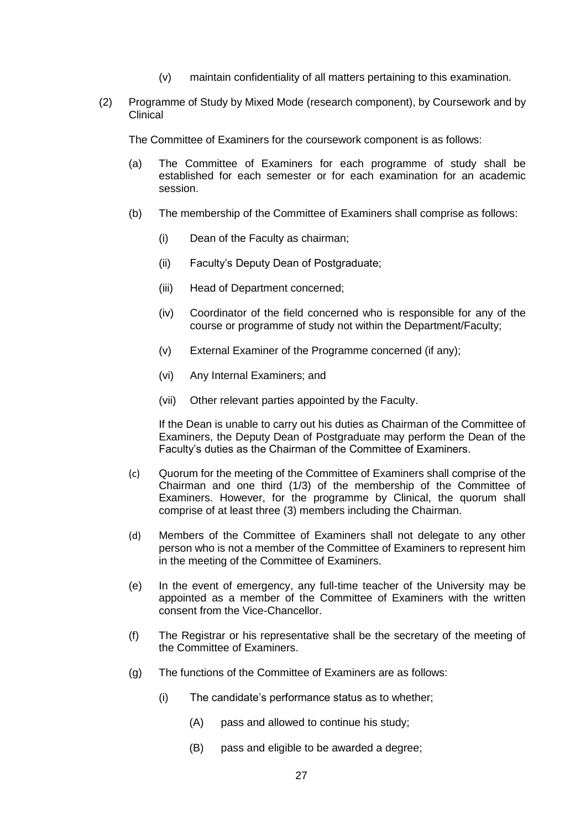- (v) maintain confidentiality of all matters pertaining to this examination.
- (2) Programme of Study by Mixed Mode (research component), by Coursework and by Clinical

The Committee of Examiners for the coursework component is as follows:

- (a) The Committee of Examiners for each programme of study shall be established for each semester or for each examination for an academic session.
- (b) The membership of the Committee of Examiners shall comprise as follows:
	- (i) Dean of the Faculty as chairman;
	- (ii) Faculty's Deputy Dean of Postgraduate;
	- (iii) Head of Department concerned;
	- (iv) Coordinator of the field concerned who is responsible for any of the course or programme of study not within the Department/Faculty;
	- (v) External Examiner of the Programme concerned (if any);
	- (vi) Any Internal Examiners; and
	- (vii) Other relevant parties appointed by the Faculty.

If the Dean is unable to carry out his duties as Chairman of the Committee of Examiners, the Deputy Dean of Postgraduate may perform the Dean of the Faculty's duties as the Chairman of the Committee of Examiners.

- (c) Quorum for the meeting of the Committee of Examiners shall comprise of the Chairman and one third (1/3) of the membership of the Committee of Examiners. However, for the programme by Clinical, the quorum shall comprise of at least three (3) members including the Chairman.
- (d) Members of the Committee of Examiners shall not delegate to any other person who is not a member of the Committee of Examiners to represent him in the meeting of the Committee of Examiners.
- (e) In the event of emergency, any full-time teacher of the University may be appointed as a member of the Committee of Examiners with the written consent from the Vice-Chancellor.
- (f) The Registrar or his representative shall be the secretary of the meeting of the Committee of Examiners.
- (g) The functions of the Committee of Examiners are as follows:
	- (i) The candidate's performance status as to whether;
		- (A) pass and allowed to continue his study;
		- (B) pass and eligible to be awarded a degree;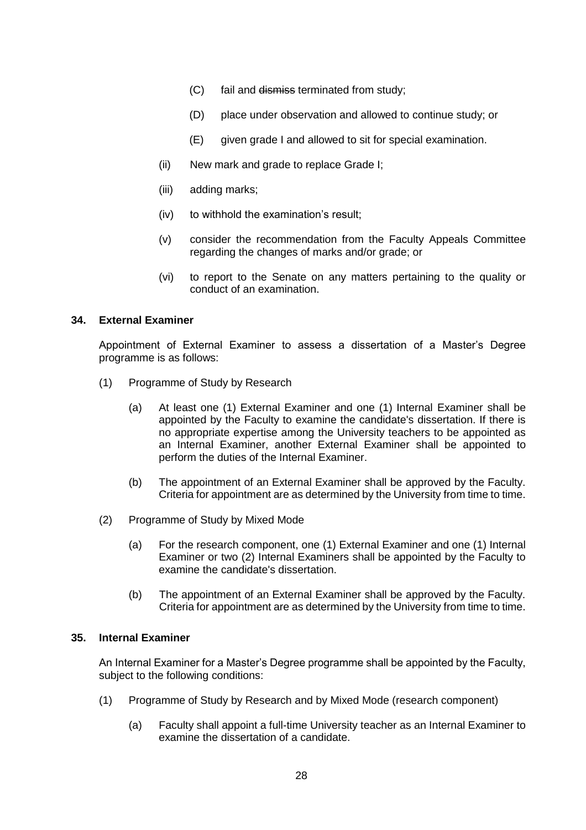- (C) fail and dismiss terminated from study;
- (D) place under observation and allowed to continue study; or
- (E) given grade I and allowed to sit for special examination.
- (ii) New mark and grade to replace Grade I;
- (iii) adding marks;
- (iv) to withhold the examination's result;
- (v) consider the recommendation from the Faculty Appeals Committee regarding the changes of marks and/or grade; or
- (vi) to report to the Senate on any matters pertaining to the quality or conduct of an examination.

## **34. External Examiner**

Appointment of External Examiner to assess a dissertation of a Master's Degree programme is as follows:

- (1) Programme of Study by Research
	- (a) At least one (1) External Examiner and one (1) Internal Examiner shall be appointed by the Faculty to examine the candidate's dissertation. If there is no appropriate expertise among the University teachers to be appointed as an Internal Examiner, another External Examiner shall be appointed to perform the duties of the Internal Examiner.
	- (b) The appointment of an External Examiner shall be approved by the Faculty. Criteria for appointment are as determined by the University from time to time.
- (2) Programme of Study by Mixed Mode
	- (a) For the research component, one (1) External Examiner and one (1) Internal Examiner or two (2) Internal Examiners shall be appointed by the Faculty to examine the candidate's dissertation.
	- (b) The appointment of an External Examiner shall be approved by the Faculty. Criteria for appointment are as determined by the University from time to time.

#### **35. Internal Examiner**

An Internal Examiner for a Master's Degree programme shall be appointed by the Faculty, subject to the following conditions:

- (1) Programme of Study by Research and by Mixed Mode (research component)
	- (a) Faculty shall appoint a full-time University teacher as an Internal Examiner to examine the dissertation of a candidate.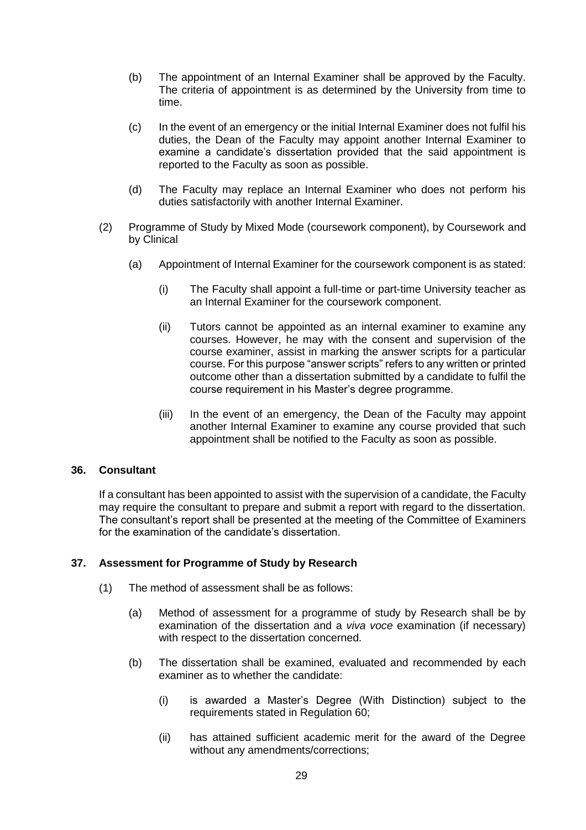- (b) The appointment of an Internal Examiner shall be approved by the Faculty. The criteria of appointment is as determined by the University from time to time.
- (c) In the event of an emergency or the initial Internal Examiner does not fulfil his duties, the Dean of the Faculty may appoint another Internal Examiner to examine a candidate's dissertation provided that the said appointment is reported to the Faculty as soon as possible.
- (d) The Faculty may replace an Internal Examiner who does not perform his duties satisfactorily with another Internal Examiner.
- (2) Programme of Study by Mixed Mode (coursework component), by Coursework and by Clinical
	- (a) Appointment of Internal Examiner for the coursework component is as stated:
		- (i) The Faculty shall appoint a full-time or part-time University teacher as an Internal Examiner for the coursework component.
		- (ii) Tutors cannot be appointed as an internal examiner to examine any courses. However, he may with the consent and supervision of the course examiner, assist in marking the answer scripts for a particular course. For this purpose "answer scripts" refers to any written or printed outcome other than a dissertation submitted by a candidate to fulfil the course requirement in his Master's degree programme.
		- (iii) In the event of an emergency, the Dean of the Faculty may appoint another Internal Examiner to examine any course provided that such appointment shall be notified to the Faculty as soon as possible.

#### **36. Consultant**

If a consultant has been appointed to assist with the supervision of a candidate, the Faculty may require the consultant to prepare and submit a report with regard to the dissertation. The consultant's report shall be presented at the meeting of the Committee of Examiners for the examination of the candidate's dissertation.

## **37. Assessment for Programme of Study by Research**

- (1) The method of assessment shall be as follows:
	- (a) Method of assessment for a programme of study by Research shall be by examination of the dissertation and a *viva voce* examination (if necessary) with respect to the dissertation concerned.
	- (b) The dissertation shall be examined, evaluated and recommended by each examiner as to whether the candidate:
		- (i) is awarded a Master's Degree (With Distinction) subject to the requirements stated in Regulation 60;
		- (ii) has attained sufficient academic merit for the award of the Degree without any amendments/corrections;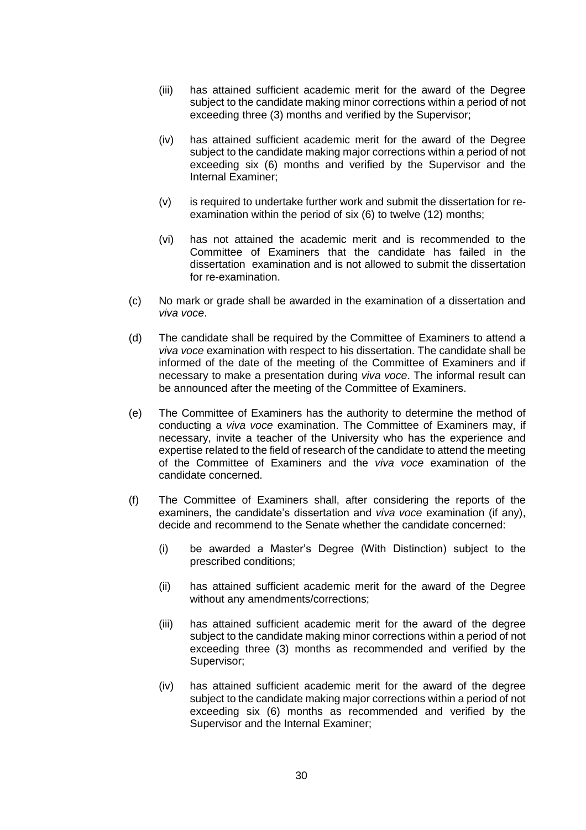- (iii) has attained sufficient academic merit for the award of the Degree subject to the candidate making minor corrections within a period of not exceeding three (3) months and verified by the Supervisor;
- (iv) has attained sufficient academic merit for the award of the Degree subject to the candidate making major corrections within a period of not exceeding six (6) months and verified by the Supervisor and the Internal Examiner;
- (v) is required to undertake further work and submit the dissertation for reexamination within the period of six (6) to twelve (12) months;
- (vi) has not attained the academic merit and is recommended to the Committee of Examiners that the candidate has failed in the dissertation examination and is not allowed to submit the dissertation for re-examination.
- (c) No mark or grade shall be awarded in the examination of a dissertation and *viva voce*.
- (d) The candidate shall be required by the Committee of Examiners to attend a *viva voce* examination with respect to his dissertation. The candidate shall be informed of the date of the meeting of the Committee of Examiners and if necessary to make a presentation during *viva voce*. The informal result can be announced after the meeting of the Committee of Examiners.
- (e) The Committee of Examiners has the authority to determine the method of conducting a *viva voce* examination. The Committee of Examiners may, if necessary, invite a teacher of the University who has the experience and expertise related to the field of research of the candidate to attend the meeting of the Committee of Examiners and the *viva voce* examination of the candidate concerned.
- (f) The Committee of Examiners shall, after considering the reports of the examiners, the candidate's dissertation and *viva voce* examination (if any), decide and recommend to the Senate whether the candidate concerned:
	- (i) be awarded a Master's Degree (With Distinction) subject to the prescribed conditions;
	- (ii) has attained sufficient academic merit for the award of the Degree without any amendments/corrections;
	- (iii) has attained sufficient academic merit for the award of the degree subject to the candidate making minor corrections within a period of not exceeding three (3) months as recommended and verified by the Supervisor;
	- (iv) has attained sufficient academic merit for the award of the degree subject to the candidate making major corrections within a period of not exceeding six (6) months as recommended and verified by the Supervisor and the Internal Examiner;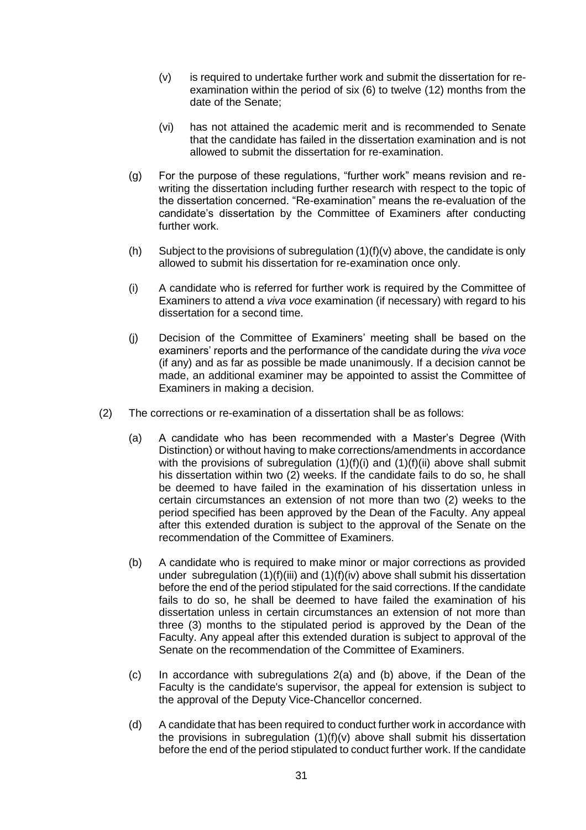- (v) is required to undertake further work and submit the dissertation for reexamination within the period of six (6) to twelve (12) months from the date of the Senate;
- (vi) has not attained the academic merit and is recommended to Senate that the candidate has failed in the dissertation examination and is not allowed to submit the dissertation for re-examination.
- (g) For the purpose of these regulations, "further work" means revision and rewriting the dissertation including further research with respect to the topic of the dissertation concerned. "Re-examination" means the re-evaluation of the candidate's dissertation by the Committee of Examiners after conducting further work.
- (h) Subject to the provisions of subregulation  $(1)(f)(v)$  above, the candidate is only allowed to submit his dissertation for re-examination once only.
- (i) A candidate who is referred for further work is required by the Committee of Examiners to attend a *viva voce* examination (if necessary) with regard to his dissertation for a second time.
- (j) Decision of the Committee of Examiners' meeting shall be based on the examiners' reports and the performance of the candidate during the *viva voce* (if any) and as far as possible be made unanimously. If a decision cannot be made, an additional examiner may be appointed to assist the Committee of Examiners in making a decision.
- (2) The corrections or re-examination of a dissertation shall be as follows:
	- (a) A candidate who has been recommended with a Master's Degree (With Distinction) or without having to make corrections/amendments in accordance with the provisions of subregulation (1)(f)(i) and (1)(f)(ii) above shall submit his dissertation within two (2) weeks. If the candidate fails to do so, he shall be deemed to have failed in the examination of his dissertation unless in certain circumstances an extension of not more than two (2) weeks to the period specified has been approved by the Dean of the Faculty. Any appeal after this extended duration is subject to the approval of the Senate on the recommendation of the Committee of Examiners.
	- (b) A candidate who is required to make minor or major corrections as provided under subregulation  $(1)(f)(iii)$  and  $(1)(f)(iv)$  above shall submit his dissertation before the end of the period stipulated for the said corrections. If the candidate fails to do so, he shall be deemed to have failed the examination of his dissertation unless in certain circumstances an extension of not more than three (3) months to the stipulated period is approved by the Dean of the Faculty. Any appeal after this extended duration is subject to approval of the Senate on the recommendation of the Committee of Examiners.
	- (c) In accordance with subregulations 2(a) and (b) above, if the Dean of the Faculty is the candidate's supervisor, the appeal for extension is subject to the approval of the Deputy Vice-Chancellor concerned.
	- (d) A candidate that has been required to conduct further work in accordance with the provisions in subregulation  $(1)(f)(v)$  above shall submit his dissertation before the end of the period stipulated to conduct further work. If the candidate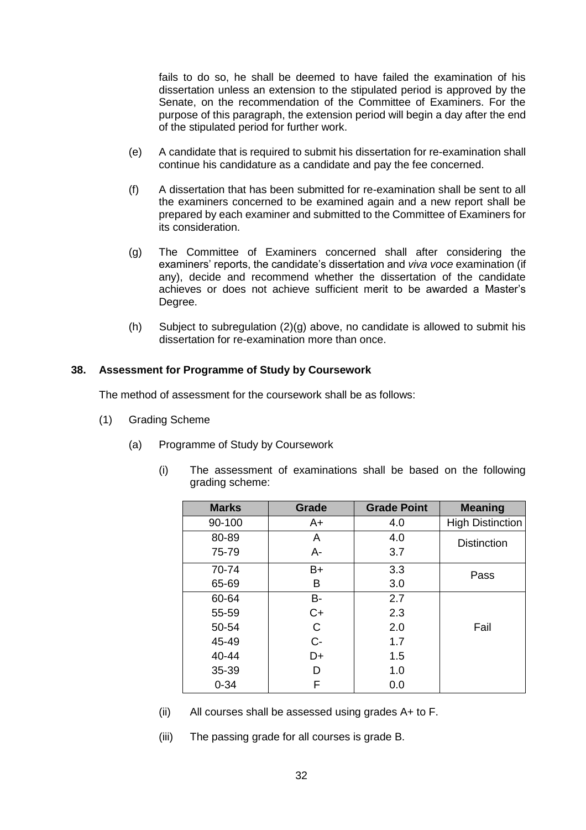fails to do so, he shall be deemed to have failed the examination of his dissertation unless an extension to the stipulated period is approved by the Senate, on the recommendation of the Committee of Examiners. For the purpose of this paragraph, the extension period will begin a day after the end of the stipulated period for further work.

- (e) A candidate that is required to submit his dissertation for re-examination shall continue his candidature as a candidate and pay the fee concerned.
- (f) A dissertation that has been submitted for re-examination shall be sent to all the examiners concerned to be examined again and a new report shall be prepared by each examiner and submitted to the Committee of Examiners for its consideration.
- (g) The Committee of Examiners concerned shall after considering the examiners' reports, the candidate's dissertation and *viva voce* examination (if any), decide and recommend whether the dissertation of the candidate achieves or does not achieve sufficient merit to be awarded a Master's Degree.
- (h) Subject to subregulation (2)(g) above, no candidate is allowed to submit his dissertation for re-examination more than once.

## **38. Assessment for Programme of Study by Coursework**

The method of assessment for the coursework shall be as follows:

- (1) Grading Scheme
	- (a) Programme of Study by Coursework
		- (i) The assessment of examinations shall be based on the following grading scheme:

| <b>Marks</b> | Grade | <b>Grade Point</b> | <b>Meaning</b>          |
|--------------|-------|--------------------|-------------------------|
| 90-100       | A+    | 4.0                | <b>High Distinction</b> |
| 80-89        | A     | 4.0                | <b>Distinction</b>      |
| 75-79        | А-    | 3.7                |                         |
| 70-74        | B+    | 3.3                | Pass                    |
| 65-69        | в     | 3.0                |                         |
| 60-64        | B-    | 2.7                |                         |
| 55-59        | C+    | 2.3                |                         |
| 50-54        | C     | 2.0                | Fail                    |
| 45-49        | $C -$ | 1.7                |                         |
| 40-44        | D+    | 1.5                |                         |
| 35-39        | D     | 1.0                |                         |
| $0 - 34$     | F     | 0.0                |                         |

- (ii) All courses shall be assessed using grades A+ to F.
- (iii) The passing grade for all courses is grade B.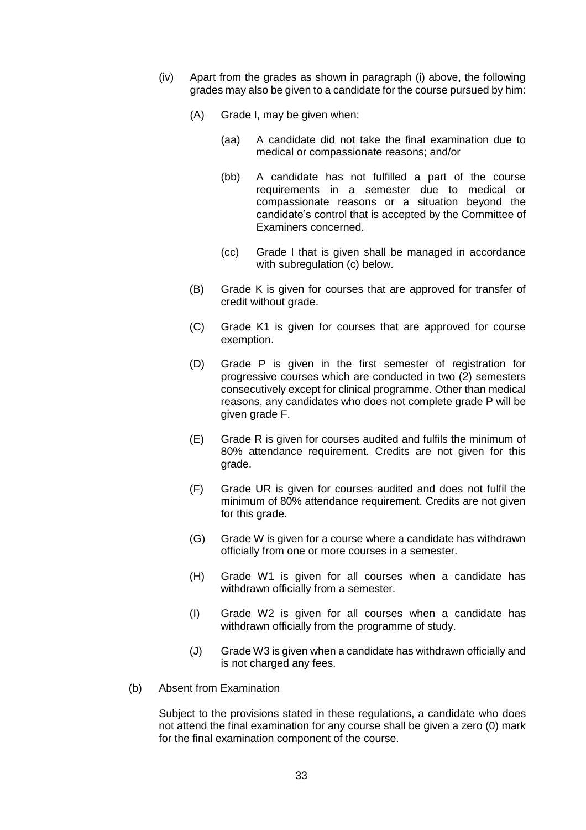- (iv) Apart from the grades as shown in paragraph (i) above, the following grades may also be given to a candidate for the course pursued by him:
	- (A) Grade I, may be given when:
		- (aa) A candidate did not take the final examination due to medical or compassionate reasons; and/or
		- (bb) A candidate has not fulfilled a part of the course requirements in a semester due to medical or compassionate reasons or a situation beyond the candidate's control that is accepted by the Committee of Examiners concerned.
		- (cc) Grade I that is given shall be managed in accordance with subregulation (c) below.
	- (B) Grade K is given for courses that are approved for transfer of credit without grade.
	- (C) Grade K1 is given for courses that are approved for course exemption.
	- (D) Grade P is given in the first semester of registration for progressive courses which are conducted in two (2) semesters consecutively except for clinical programme. Other than medical reasons, any candidates who does not complete grade P will be given grade F.
	- (E) Grade R is given for courses audited and fulfils the minimum of 80% attendance requirement. Credits are not given for this grade.
	- (F) Grade UR is given for courses audited and does not fulfil the minimum of 80% attendance requirement. Credits are not given for this grade.
	- (G) Grade W is given for a course where a candidate has withdrawn officially from one or more courses in a semester.
	- (H) Grade W1 is given for all courses when a candidate has withdrawn officially from a semester.
	- (I) Grade W2 is given for all courses when a candidate has withdrawn officially from the programme of study.
	- (J) Grade W3 is given when a candidate has withdrawn officially and is not charged any fees.
- (b) Absent from Examination

Subject to the provisions stated in these regulations, a candidate who does not attend the final examination for any course shall be given a zero (0) mark for the final examination component of the course.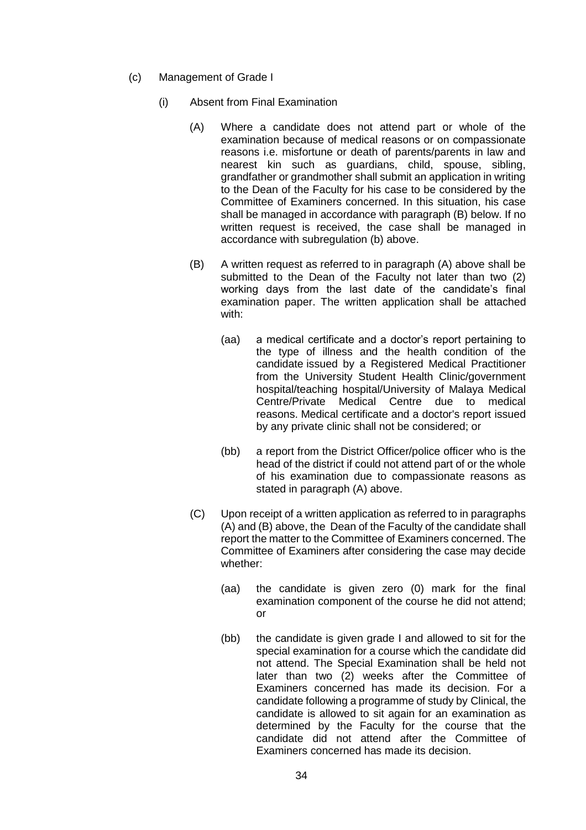- (c) Management of Grade I
	- (i) Absent from Final Examination
		- (A) Where a candidate does not attend part or whole of the examination because of medical reasons or on compassionate reasons i.e. misfortune or death of parents/parents in law and nearest kin such as guardians, child, spouse, sibling, grandfather or grandmother shall submit an application in writing to the Dean of the Faculty for his case to be considered by the Committee of Examiners concerned. In this situation, his case shall be managed in accordance with paragraph (B) below. If no written request is received, the case shall be managed in accordance with subregulation (b) above.
		- (B) A written request as referred to in paragraph (A) above shall be submitted to the Dean of the Faculty not later than two (2) working days from the last date of the candidate's final examination paper. The written application shall be attached with:
			- (aa) a medical certificate and a doctor's report pertaining to the type of illness and the health condition of the candidate issued by a Registered Medical Practitioner from the University Student Health Clinic/government hospital/teaching hospital/University of Malaya Medical Centre/Private Medical Centre due to medical reasons. Medical certificate and a doctor's report issued by any private clinic shall not be considered; or
			- (bb) a report from the District Officer/police officer who is the head of the district if could not attend part of or the whole of his examination due to compassionate reasons as stated in paragraph (A) above.
		- (C) Upon receipt of a written application as referred to in paragraphs (A) and (B) above, the Dean of the Faculty of the candidate shall report the matter to the Committee of Examiners concerned. The Committee of Examiners after considering the case may decide whether:
			- (aa) the candidate is given zero (0) mark for the final examination component of the course he did not attend; or
			- (bb) the candidate is given grade I and allowed to sit for the special examination for a course which the candidate did not attend. The Special Examination shall be held not later than two (2) weeks after the Committee of Examiners concerned has made its decision. For a candidate following a programme of study by Clinical, the candidate is allowed to sit again for an examination as determined by the Faculty for the course that the candidate did not attend after the Committee of Examiners concerned has made its decision.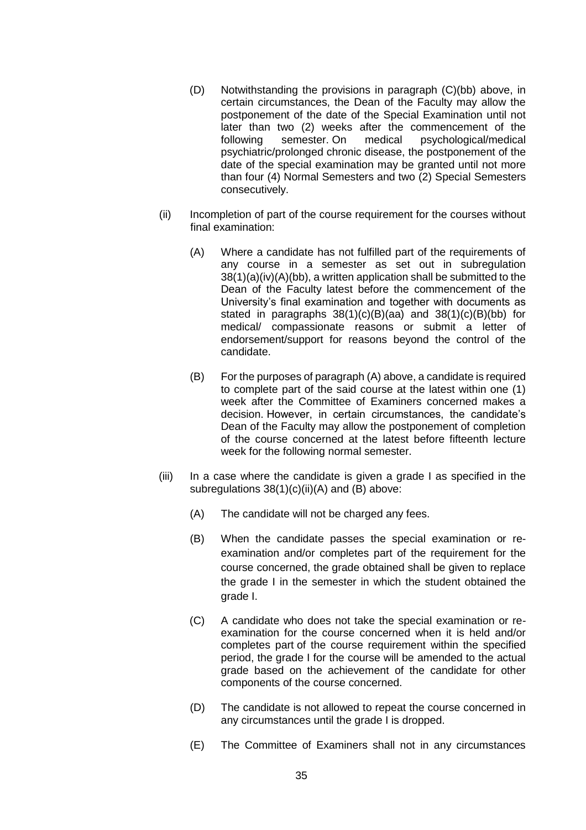- (D) Notwithstanding the provisions in paragraph (C)(bb) above, in certain circumstances, the Dean of the Faculty may allow the postponement of the date of the Special Examination until not later than two (2) weeks after the commencement of the following semester. On medical psychological/medical psychological/medical psychiatric/prolonged chronic disease, the postponement of the date of the special examination may be granted until not more than four (4) Normal Semesters and two (2) Special Semesters consecutively.
- (ii) Incompletion of part of the course requirement for the courses without final examination:
	- (A) Where a candidate has not fulfilled part of the requirements of any course in a semester as set out in subregulation 38(1)(a)(iv)(A)(bb), a written application shall be submitted to the Dean of the Faculty latest before the commencement of the University's final examination and together with documents as stated in paragraphs 38(1)(c)(B)(aa) and 38(1)(c)(B)(bb) for medical/ compassionate reasons or submit a letter of endorsement/support for reasons beyond the control of the candidate.
	- (B) For the purposes of paragraph (A) above, a candidate is required to complete part of the said course at the latest within one (1) week after the Committee of Examiners concerned makes a decision. However, in certain circumstances, the candidate's Dean of the Faculty may allow the postponement of completion of the course concerned at the latest before fifteenth lecture week for the following normal semester.
- (iii) In a case where the candidate is given a grade I as specified in the subregulations 38(1)(c)(ii)(A) and (B) above:
	- (A) The candidate will not be charged any fees.
	- (B) When the candidate passes the special examination or reexamination and/or completes part of the requirement for the course concerned, the grade obtained shall be given to replace the grade I in the semester in which the student obtained the grade I.
	- (C) A candidate who does not take the special examination or reexamination for the course concerned when it is held and/or completes part of the course requirement within the specified period, the grade I for the course will be amended to the actual grade based on the achievement of the candidate for other components of the course concerned.
	- (D) The candidate is not allowed to repeat the course concerned in any circumstances until the grade I is dropped.
	- (E) The Committee of Examiners shall not in any circumstances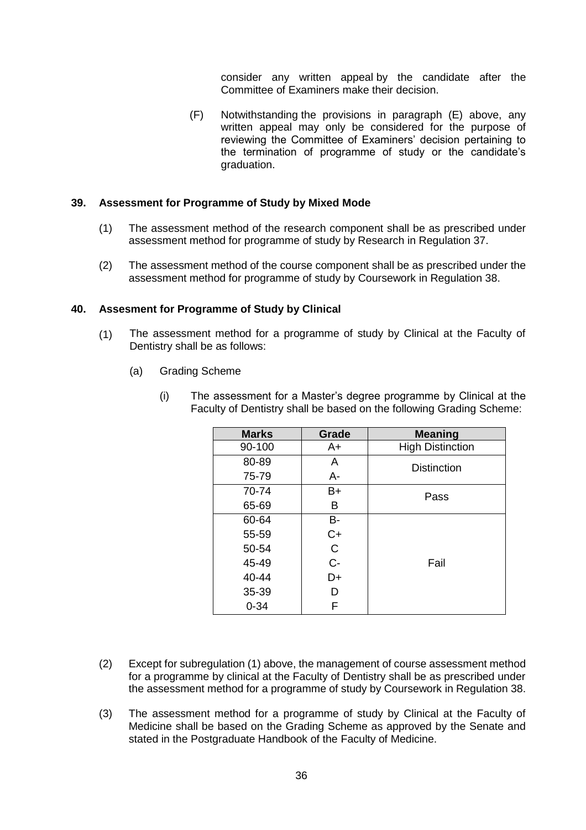consider any written appeal by the candidate after the Committee of Examiners make their decision.

(F) Notwithstanding the provisions in paragraph (E) above, any written appeal may only be considered for the purpose of reviewing the Committee of Examiners' decision pertaining to the termination of programme of study or the candidate's graduation.

### **39. Assessment for Programme of Study by Mixed Mode**

- (1) The assessment method of the research component shall be as prescribed under assessment method for programme of study by Research in Regulation 37.
- (2) The assessment method of the course component shall be as prescribed under the assessment method for programme of study by Coursework in Regulation 38.

### **40. Assesment for Programme of Study by Clinical**

- (1) The assessment method for a programme of study by Clinical at the Faculty of Dentistry shall be as follows:
	- (a) Grading Scheme
		- (i) The assessment for a Master's degree programme by Clinical at the Faculty of Dentistry shall be based on the following Grading Scheme:

| <b>Marks</b> | Grade | <b>Meaning</b>          |
|--------------|-------|-------------------------|
| 90-100       | $A+$  | <b>High Distinction</b> |
| 80-89        | A     | <b>Distinction</b>      |
| 75-79        | A-    |                         |
| 70-74        | $B+$  | Pass                    |
| 65-69        | В     |                         |
| 60-64        | В-    |                         |
| 55-59        | $C+$  |                         |
| 50-54        | C     |                         |
| 45-49        | $C -$ | Fail                    |
| 40-44        | D+    |                         |
| 35-39        | D     |                         |
| $0 - 34$     | F     |                         |

- (2) Except for subregulation (1) above, the management of course assessment method for a programme by clinical at the Faculty of Dentistry shall be as prescribed under the assessment method for a programme of study by Coursework in Regulation 38.
- (3) The assessment method for a programme of study by Clinical at the Faculty of Medicine shall be based on the Grading Scheme as approved by the Senate and stated in the Postgraduate Handbook of the Faculty of Medicine.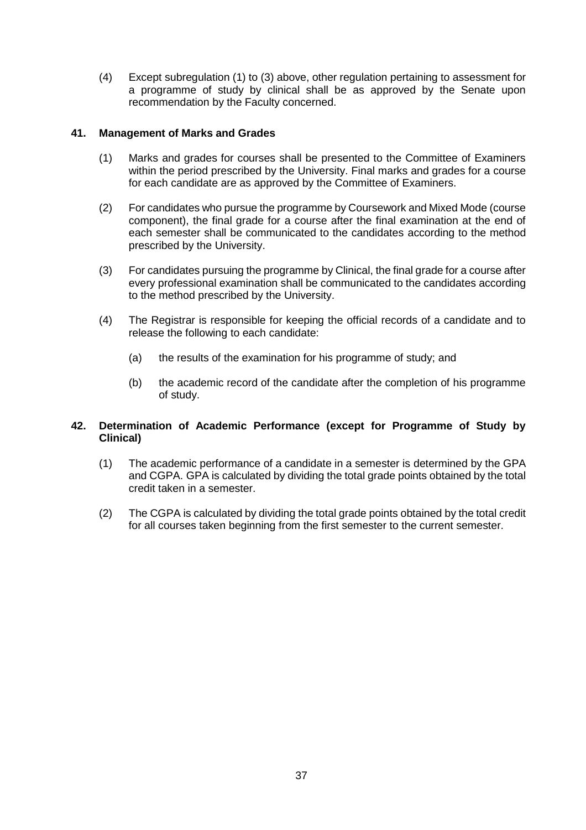(4) Except subregulation (1) to (3) above, other regulation pertaining to assessment for a programme of study by clinical shall be as approved by the Senate upon recommendation by the Faculty concerned.

## **41. Management of Marks and Grades**

- (1) Marks and grades for courses shall be presented to the Committee of Examiners within the period prescribed by the University. Final marks and grades for a course for each candidate are as approved by the Committee of Examiners.
- (2) For candidates who pursue the programme by Coursework and Mixed Mode (course component), the final grade for a course after the final examination at the end of each semester shall be communicated to the candidates according to the method prescribed by the University.
- (3) For candidates pursuing the programme by Clinical, the final grade for a course after every professional examination shall be communicated to the candidates according to the method prescribed by the University.
- (4) The Registrar is responsible for keeping the official records of a candidate and to release the following to each candidate:
	- (a) the results of the examination for his programme of study; and
	- (b) the academic record of the candidate after the completion of his programme of study.

## **42. Determination of Academic Performance (except for Programme of Study by Clinical)**

- (1) The academic performance of a candidate in a semester is determined by the GPA and CGPA. GPA is calculated by dividing the total grade points obtained by the total credit taken in a semester.
- (2) The CGPA is calculated by dividing the total grade points obtained by the total credit for all courses taken beginning from the first semester to the current semester.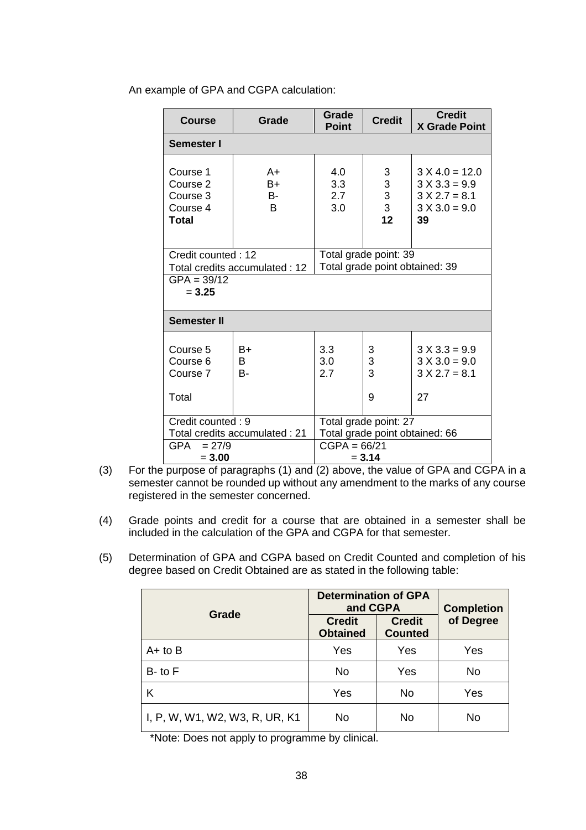| <b>Course</b>                                                           | Grade                                   | Grade<br><b>Point</b>                                        | <b>Credit</b>                 | <b>Credit</b><br><b>X Grade Point</b>                                           |  |
|-------------------------------------------------------------------------|-----------------------------------------|--------------------------------------------------------------|-------------------------------|---------------------------------------------------------------------------------|--|
| Semester I                                                              |                                         |                                                              |                               |                                                                                 |  |
| Course 1<br>Course <sub>2</sub><br>Course 3<br>Course 4<br><b>Total</b> | A+<br>$B+$<br><b>B-</b><br><sub>B</sub> | 4.0<br>3.3<br>2.7<br>3.0                                     | 3<br>$\frac{3}{3}$<br>3<br>12 | $3 X 4.0 = 12.0$<br>$3 X 3.3 = 9.9$<br>$3 X 2.7 = 8.1$<br>$3 X 3.0 = 9.0$<br>39 |  |
| Credit counted: 12                                                      |                                         | Total grade point: 39<br>Total grade point obtained: 39      |                               |                                                                                 |  |
| Total credits accumulated: 12<br>$GPA = 39/12$<br>$= 3.25$              |                                         |                                                              |                               |                                                                                 |  |
| <b>Semester II</b>                                                      |                                         |                                                              |                               |                                                                                 |  |
| Course 5<br>Course 6<br>Course 7<br>Total                               | B+<br>B<br>$B -$                        | 3.3<br>3.0<br>27                                             | 3<br>3<br>3<br>9              | $3 X 3.3 = 9.9$<br>$3 X 3.0 = 9.0$<br>$3 X 2.7 = 8.1$<br>27                     |  |
| Credit counted: 9<br>Total credits accumulated: 21                      |                                         | Total grade point: 27                                        |                               |                                                                                 |  |
| GPA<br>$= 27/9$<br>$= 3.00$                                             |                                         | Total grade point obtained: 66<br>$CGPA = 66/21$<br>$= 3.14$ |                               |                                                                                 |  |

An example of GPA and CGPA calculation:

- (3) For the purpose of paragraphs (1) and (2) above, the value of GPA and CGPA in a semester cannot be rounded up without any amendment to the marks of any course registered in the semester concerned.
- (4) Grade points and credit for a course that are obtained in a semester shall be included in the calculation of the GPA and CGPA for that semester.
- (5) Determination of GPA and CGPA based on Credit Counted and completion of his degree based on Credit Obtained are as stated in the following table:

|                                | <b>Determination of GPA</b><br>and CGPA | <b>Completion</b>               |           |
|--------------------------------|-----------------------------------------|---------------------------------|-----------|
| Grade                          | <b>Credit</b><br><b>Obtained</b>        | <b>Credit</b><br><b>Counted</b> | of Degree |
| $A+$ to $B$                    | Yes                                     | Yes                             | Yes       |
| $B$ - to $F$                   | <b>No</b>                               | Yes                             | No        |
| K                              | Yes                                     | No                              | Yes       |
| I, P, W, W1, W2, W3, R, UR, K1 | No                                      | No                              | No        |

\*Note: Does not apply to programme by clinical.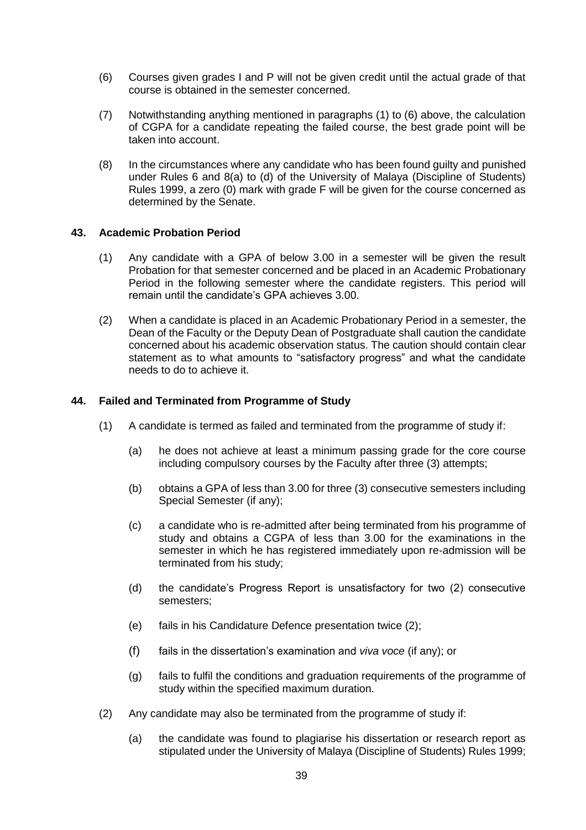- (6) Courses given grades I and P will not be given credit until the actual grade of that course is obtained in the semester concerned.
- (7) Notwithstanding anything mentioned in paragraphs (1) to (6) above, the calculation of CGPA for a candidate repeating the failed course, the best grade point will be taken into account.
- (8) In the circumstances where any candidate who has been found guilty and punished under Rules 6 and 8(a) to (d) of the University of Malaya (Discipline of Students) Rules 1999, a zero (0) mark with grade F will be given for the course concerned as determined by the Senate.

## **43. Academic Probation Period**

- (1) Any candidate with a GPA of below 3.00 in a semester will be given the result Probation for that semester concerned and be placed in an Academic Probationary Period in the following semester where the candidate registers. This period will remain until the candidate's GPA achieves 3.00.
- (2) When a candidate is placed in an Academic Probationary Period in a semester, the Dean of the Faculty or the Deputy Dean of Postgraduate shall caution the candidate concerned about his academic observation status. The caution should contain clear statement as to what amounts to "satisfactory progress" and what the candidate needs to do to achieve it.

# **44. Failed and Terminated from Programme of Study**

- (1) A candidate is termed as failed and terminated from the programme of study if:
	- (a) he does not achieve at least a minimum passing grade for the core course including compulsory courses by the Faculty after three (3) attempts;
	- (b) obtains a GPA of less than 3.00 for three (3) consecutive semesters including Special Semester (if any);
	- (c) a candidate who is re-admitted after being terminated from his programme of study and obtains a CGPA of less than 3.00 for the examinations in the semester in which he has registered immediately upon re-admission will be terminated from his study;
	- (d) the candidate's Progress Report is unsatisfactory for two (2) consecutive semesters;
	- (e) fails in his Candidature Defence presentation twice (2);
	- (f) fails in the dissertation's examination and *viva voce* (if any); or
	- (g) fails to fulfil the conditions and graduation requirements of the programme of study within the specified maximum duration.
- (2) Any candidate may also be terminated from the programme of study if:
	- (a) the candidate was found to plagiarise his dissertation or research report as stipulated under the University of Malaya (Discipline of Students) Rules 1999;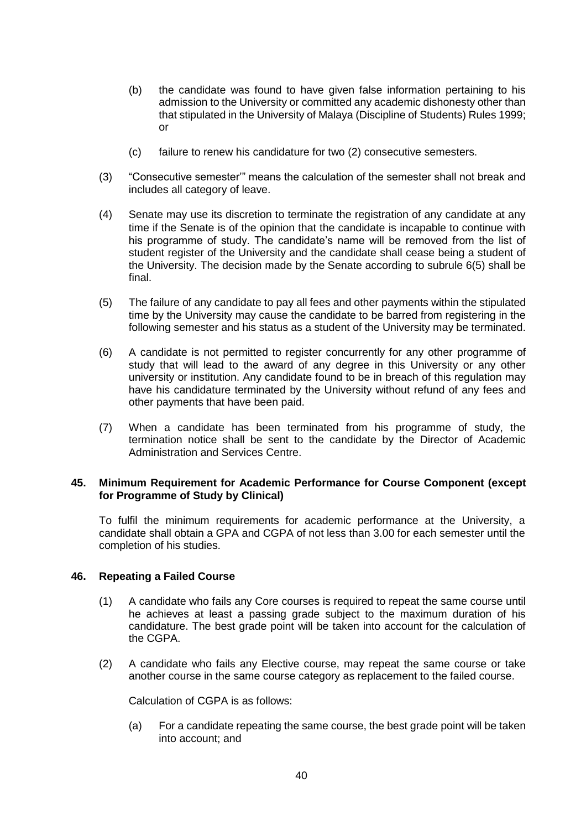- (b) the candidate was found to have given false information pertaining to his admission to the University or committed any academic dishonesty other than that stipulated in the University of Malaya (Discipline of Students) Rules 1999; or
- (c) failure to renew his candidature for two (2) consecutive semesters.
- (3) "Consecutive semester'" means the calculation of the semester shall not break and includes all category of leave.
- (4) Senate may use its discretion to terminate the registration of any candidate at any time if the Senate is of the opinion that the candidate is incapable to continue with his programme of study. The candidate's name will be removed from the list of student register of the University and the candidate shall cease being a student of the University. The decision made by the Senate according to subrule 6(5) shall be final.
- (5) The failure of any candidate to pay all fees and other payments within the stipulated time by the University may cause the candidate to be barred from registering in the following semester and his status as a student of the University may be terminated.
- (6) A candidate is not permitted to register concurrently for any other programme of study that will lead to the award of any degree in this University or any other university or institution. Any candidate found to be in breach of this regulation may have his candidature terminated by the University without refund of any fees and other payments that have been paid.
- (7) When a candidate has been terminated from his programme of study, the termination notice shall be sent to the candidate by the Director of Academic Administration and Services Centre.

### **45. Minimum Requirement for Academic Performance for Course Component (except for Programme of Study by Clinical)**

To fulfil the minimum requirements for academic performance at the University, a candidate shall obtain a GPA and CGPA of not less than 3.00 for each semester until the completion of his studies.

## **46. Repeating a Failed Course**

- (1) A candidate who fails any Core courses is required to repeat the same course until he achieves at least a passing grade subject to the maximum duration of his candidature. The best grade point will be taken into account for the calculation of the CGPA.
- (2) A candidate who fails any Elective course, may repeat the same course or take another course in the same course category as replacement to the failed course.

Calculation of CGPA is as follows:

(a) For a candidate repeating the same course, the best grade point will be taken into account; and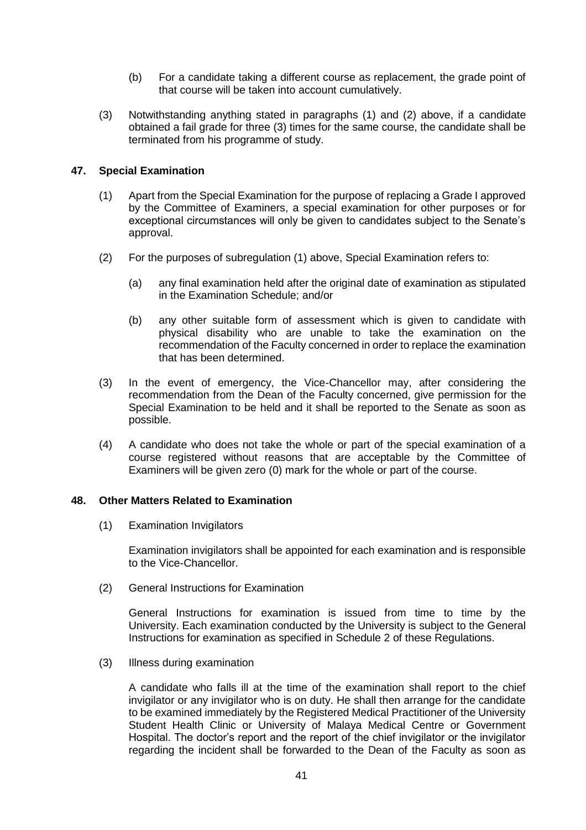- (b) For a candidate taking a different course as replacement, the grade point of that course will be taken into account cumulatively.
- (3) Notwithstanding anything stated in paragraphs (1) and (2) above, if a candidate obtained a fail grade for three (3) times for the same course, the candidate shall be terminated from his programme of study.

# **47. Special Examination**

- (1) Apart from the Special Examination for the purpose of replacing a Grade I approved by the Committee of Examiners, a special examination for other purposes or for exceptional circumstances will only be given to candidates subject to the Senate's approval.
- (2) For the purposes of subregulation (1) above, Special Examination refers to:
	- (a) any final examination held after the original date of examination as stipulated in the Examination Schedule; and/or
	- (b) any other suitable form of assessment which is given to candidate with physical disability who are unable to take the examination on the recommendation of the Faculty concerned in order to replace the examination that has been determined.
- (3) In the event of emergency, the Vice-Chancellor may, after considering the recommendation from the Dean of the Faculty concerned, give permission for the Special Examination to be held and it shall be reported to the Senate as soon as possible.
- (4) A candidate who does not take the whole or part of the special examination of a course registered without reasons that are acceptable by the Committee of Examiners will be given zero (0) mark for the whole or part of the course.

## **48. Other Matters Related to Examination**

(1) Examination Invigilators

Examination invigilators shall be appointed for each examination and is responsible to the Vice-Chancellor.

(2) General Instructions for Examination

General Instructions for examination is issued from time to time by the University. Each examination conducted by the University is subject to the General Instructions for examination as specified in Schedule 2 of these Regulations.

(3) Illness during examination

A candidate who falls ill at the time of the examination shall report to the chief invigilator or any invigilator who is on duty. He shall then arrange for the candidate to be examined immediately by the Registered Medical Practitioner of the University Student Health Clinic or University of Malaya Medical Centre or Government Hospital. The doctor's report and the report of the chief invigilator or the invigilator regarding the incident shall be forwarded to the Dean of the Faculty as soon as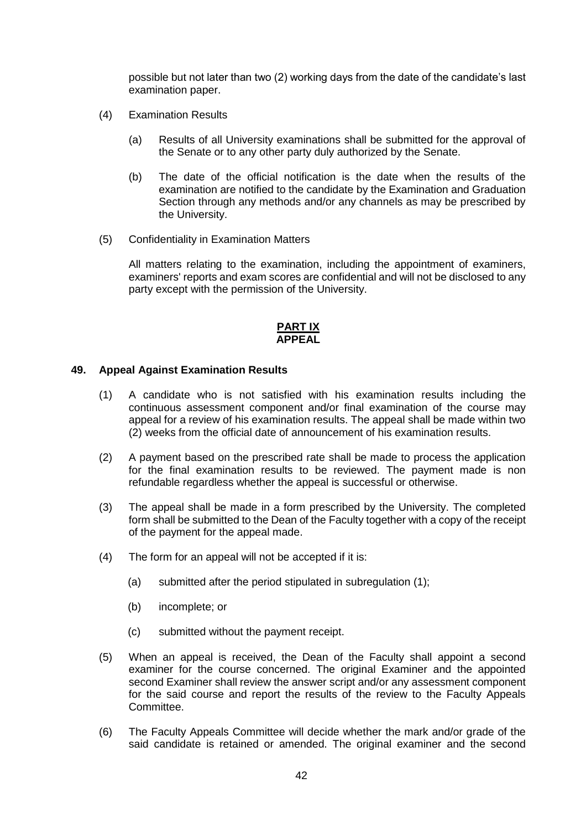possible but not later than two (2) working days from the date of the candidate's last examination paper.

- (4) Examination Results
	- (a) Results of all University examinations shall be submitted for the approval of the Senate or to any other party duly authorized by the Senate.
	- (b) The date of the official notification is the date when the results of the examination are notified to the candidate by the Examination and Graduation Section through any methods and/or any channels as may be prescribed by the University.
- (5) Confidentiality in Examination Matters

All matters relating to the examination, including the appointment of examiners, examiners' reports and exam scores are confidential and will not be disclosed to any party except with the permission of the University.

### **PART IX APPEAL**

### **49. Appeal Against Examination Results**

- (1) A candidate who is not satisfied with his examination results including the continuous assessment component and/or final examination of the course may appeal for a review of his examination results. The appeal shall be made within two (2) weeks from the official date of announcement of his examination results.
- (2) A payment based on the prescribed rate shall be made to process the application for the final examination results to be reviewed. The payment made is non refundable regardless whether the appeal is successful or otherwise.
- (3) The appeal shall be made in a form prescribed by the University. The completed form shall be submitted to the Dean of the Faculty together with a copy of the receipt of the payment for the appeal made.
- (4) The form for an appeal will not be accepted if it is:
	- (a) submitted after the period stipulated in subregulation (1);
	- (b) incomplete; or
	- (c) submitted without the payment receipt.
- (5) When an appeal is received, the Dean of the Faculty shall appoint a second examiner for the course concerned. The original Examiner and the appointed second Examiner shall review the answer script and/or any assessment component for the said course and report the results of the review to the Faculty Appeals Committee.
- (6) The Faculty Appeals Committee will decide whether the mark and/or grade of the said candidate is retained or amended. The original examiner and the second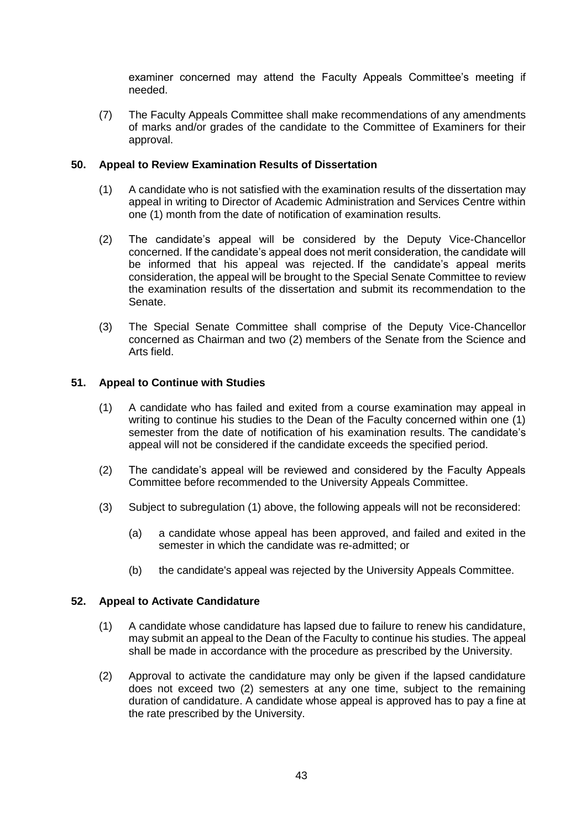examiner concerned may attend the Faculty Appeals Committee's meeting if needed.

(7) The Faculty Appeals Committee shall make recommendations of any amendments of marks and/or grades of the candidate to the Committee of Examiners for their approval.

## **50. Appeal to Review Examination Results of Dissertation**

- (1) A candidate who is not satisfied with the examination results of the dissertation may appeal in writing to Director of Academic Administration and Services Centre within one (1) month from the date of notification of examination results.
- (2) The candidate's appeal will be considered by the Deputy Vice-Chancellor concerned. If the candidate's appeal does not merit consideration, the candidate will be informed that his appeal was rejected. If the candidate's appeal merits consideration, the appeal will be brought to the Special Senate Committee to review the examination results of the dissertation and submit its recommendation to the Senate.
- (3) The Special Senate Committee shall comprise of the Deputy Vice-Chancellor concerned as Chairman and two (2) members of the Senate from the Science and Arts field.

### **51. Appeal to Continue with Studies**

- (1) A candidate who has failed and exited from a course examination may appeal in writing to continue his studies to the Dean of the Faculty concerned within one (1) semester from the date of notification of his examination results. The candidate's appeal will not be considered if the candidate exceeds the specified period.
- (2) The candidate's appeal will be reviewed and considered by the Faculty Appeals Committee before recommended to the University Appeals Committee.
- (3) Subject to subregulation (1) above, the following appeals will not be reconsidered:
	- (a) a candidate whose appeal has been approved, and failed and exited in the semester in which the candidate was re-admitted; or
	- (b) the candidate's appeal was rejected by the University Appeals Committee.

#### **52. Appeal to Activate Candidature**

- (1) A candidate whose candidature has lapsed due to failure to renew his candidature, may submit an appeal to the Dean of the Faculty to continue his studies. The appeal shall be made in accordance with the procedure as prescribed by the University.
- (2) Approval to activate the candidature may only be given if the lapsed candidature does not exceed two (2) semesters at any one time, subject to the remaining duration of candidature. A candidate whose appeal is approved has to pay a fine at the rate prescribed by the University.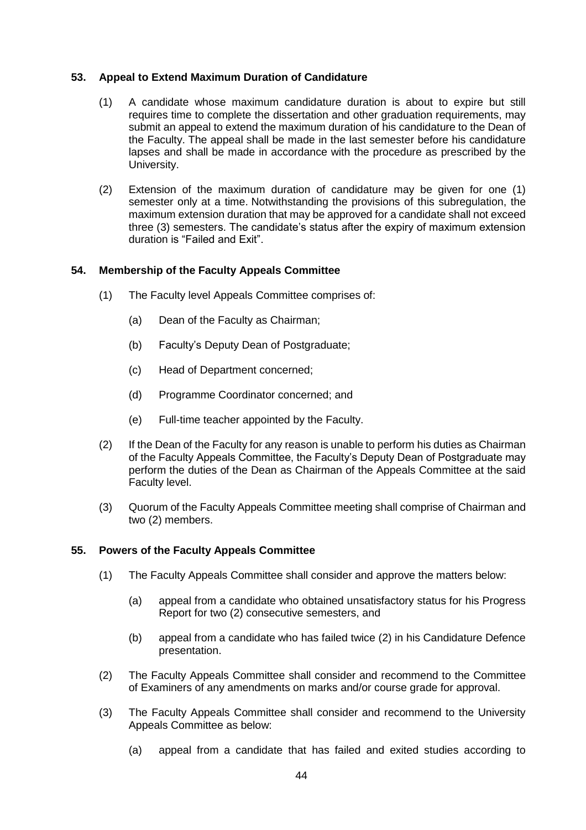### **53. Appeal to Extend Maximum Duration of Candidature**

- (1) A candidate whose maximum candidature duration is about to expire but still requires time to complete the dissertation and other graduation requirements, may submit an appeal to extend the maximum duration of his candidature to the Dean of the Faculty. The appeal shall be made in the last semester before his candidature lapses and shall be made in accordance with the procedure as prescribed by the University.
- (2) Extension of the maximum duration of candidature may be given for one (1) semester only at a time. Notwithstanding the provisions of this subregulation, the maximum extension duration that may be approved for a candidate shall not exceed three (3) semesters. The candidate's status after the expiry of maximum extension duration is "Failed and Exit".

### **54. Membership of the Faculty Appeals Committee**

- (1) The Faculty level Appeals Committee comprises of:
	- (a) Dean of the Faculty as Chairman;
	- (b) Faculty's Deputy Dean of Postgraduate;
	- (c) Head of Department concerned;
	- (d) Programme Coordinator concerned; and
	- (e) Full-time teacher appointed by the Faculty.
- (2) If the Dean of the Faculty for any reason is unable to perform his duties as Chairman of the Faculty Appeals Committee, the Faculty's Deputy Dean of Postgraduate may perform the duties of the Dean as Chairman of the Appeals Committee at the said Faculty level.
- (3) Quorum of the Faculty Appeals Committee meeting shall comprise of Chairman and two (2) members.

#### **55. Powers of the Faculty Appeals Committee**

- (1) The Faculty Appeals Committee shall consider and approve the matters below:
	- (a) appeal from a candidate who obtained unsatisfactory status for his Progress Report for two (2) consecutive semesters, and
	- (b) appeal from a candidate who has failed twice (2) in his Candidature Defence presentation.
- (2) The Faculty Appeals Committee shall consider and recommend to the Committee of Examiners of any amendments on marks and/or course grade for approval.
- (3) The Faculty Appeals Committee shall consider and recommend to the University Appeals Committee as below:
	- (a) appeal from a candidate that has failed and exited studies according to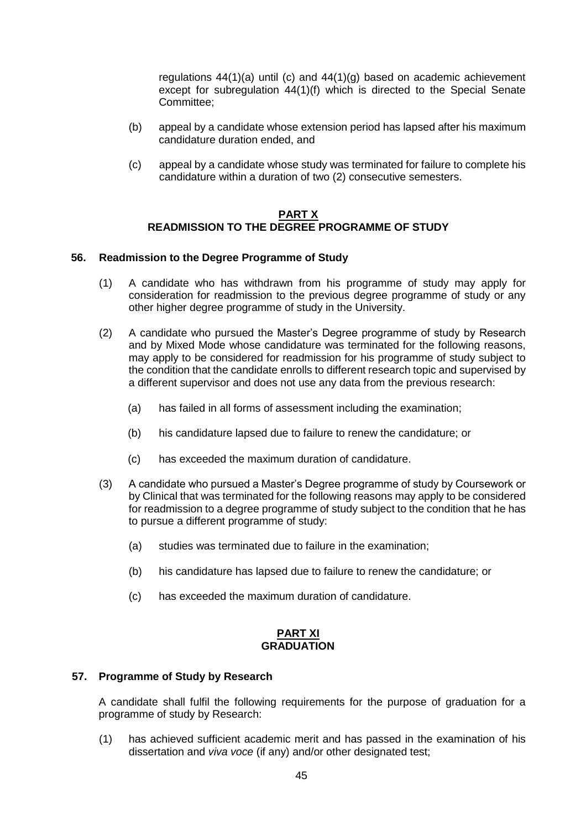regulations 44(1)(a) until (c) and 44(1)(g) based on academic achievement except for subregulation 44(1)(f) which is directed to the Special Senate Committee;

- (b) appeal by a candidate whose extension period has lapsed after his maximum candidature duration ended, and
- (c) appeal by a candidate whose study was terminated for failure to complete his candidature within a duration of two (2) consecutive semesters.

### **PART X READMISSION TO THE DEGREE PROGRAMME OF STUDY**

## **56. Readmission to the Degree Programme of Study**

- (1) A candidate who has withdrawn from his programme of study may apply for consideration for readmission to the previous degree programme of study or any other higher degree programme of study in the University.
- (2) A candidate who pursued the Master's Degree programme of study by Research and by Mixed Mode whose candidature was terminated for the following reasons, may apply to be considered for readmission for his programme of study subject to the condition that the candidate enrolls to different research topic and supervised by a different supervisor and does not use any data from the previous research:
	- (a) has failed in all forms of assessment including the examination;
	- (b) his candidature lapsed due to failure to renew the candidature; or
	- (c) has exceeded the maximum duration of candidature.
- (3) A candidate who pursued a Master's Degree programme of study by Coursework or by Clinical that was terminated for the following reasons may apply to be considered for readmission to a degree programme of study subject to the condition that he has to pursue a different programme of study:
	- (a) studies was terminated due to failure in the examination;
	- (b) his candidature has lapsed due to failure to renew the candidature; or
	- (c) has exceeded the maximum duration of candidature.

### **PART XI GRADUATION**

## **57. Programme of Study by Research**

A candidate shall fulfil the following requirements for the purpose of graduation for a programme of study by Research:

(1) has achieved sufficient academic merit and has passed in the examination of his dissertation and *viva voce* (if any) and/or other designated test;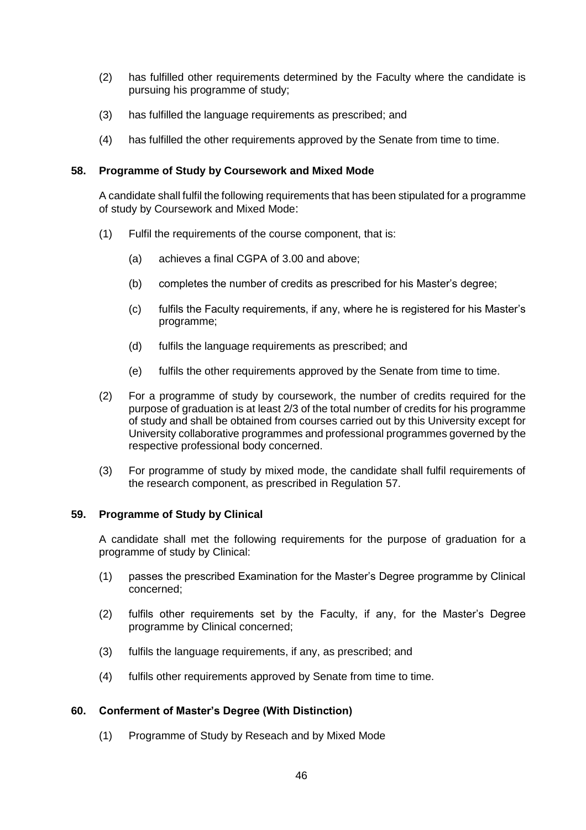- (2) has fulfilled other requirements determined by the Faculty where the candidate is pursuing his programme of study;
- (3) has fulfilled the language requirements as prescribed; and
- (4) has fulfilled the other requirements approved by the Senate from time to time.

#### **58. Programme of Study by Coursework and Mixed Mode**

A candidate shall fulfil the following requirements that has been stipulated for a programme of study by Coursework and Mixed Mode:

- (1) Fulfil the requirements of the course component, that is:
	- (a) achieves a final CGPA of 3.00 and above;
	- (b) completes the number of credits as prescribed for his Master's degree;
	- (c) fulfils the Faculty requirements, if any, where he is registered for his Master's programme;
	- (d) fulfils the language requirements as prescribed; and
	- (e) fulfils the other requirements approved by the Senate from time to time.
- (2) For a programme of study by coursework, the number of credits required for the purpose of graduation is at least 2/3 of the total number of credits for his programme of study and shall be obtained from courses carried out by this University except for University collaborative programmes and professional programmes governed by the respective professional body concerned.
- (3) For programme of study by mixed mode, the candidate shall fulfil requirements of the research component, as prescribed in Regulation 57.

#### **59. Programme of Study by Clinical**

A candidate shall met the following requirements for the purpose of graduation for a programme of study by Clinical:

- (1) passes the prescribed Examination for the Master's Degree programme by Clinical concerned;
- (2) fulfils other requirements set by the Faculty, if any, for the Master's Degree programme by Clinical concerned;
- (3) fulfils the language requirements, if any, as prescribed; and
- (4) fulfils other requirements approved by Senate from time to time.

#### **60. Conferment of Master's Degree (With Distinction)**

(1) Programme of Study by Reseach and by Mixed Mode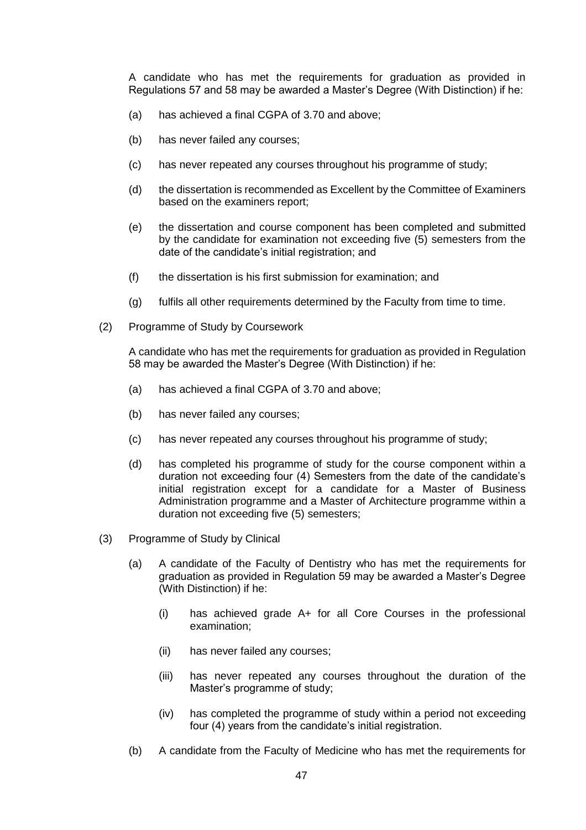A candidate who has met the requirements for graduation as provided in Regulations 57 and 58 may be awarded a Master's Degree (With Distinction) if he:

- (a) has achieved a final CGPA of 3.70 and above;
- (b) has never failed any courses;
- (c) has never repeated any courses throughout his programme of study;
- (d) the dissertation is recommended as Excellent by the Committee of Examiners based on the examiners report;
- (e) the dissertation and course component has been completed and submitted by the candidate for examination not exceeding five (5) semesters from the date of the candidate's initial registration; and
- (f) the dissertation is his first submission for examination; and
- (g) fulfils all other requirements determined by the Faculty from time to time.
- (2) Programme of Study by Coursework

A candidate who has met the requirements for graduation as provided in Regulation 58 may be awarded the Master's Degree (With Distinction) if he:

- (a) has achieved a final CGPA of 3.70 and above;
- (b) has never failed any courses;
- (c) has never repeated any courses throughout his programme of study;
- (d) has completed his programme of study for the course component within a duration not exceeding four (4) Semesters from the date of the candidate's initial registration except for a candidate for a Master of Business Administration programme and a Master of Architecture programme within a duration not exceeding five (5) semesters;
- (3) Programme of Study by Clinical
	- (a) A candidate of the Faculty of Dentistry who has met the requirements for graduation as provided in Regulation 59 may be awarded a Master's Degree (With Distinction) if he:
		- (i) has achieved grade A+ for all Core Courses in the professional examination;
		- (ii) has never failed any courses;
		- (iii) has never repeated any courses throughout the duration of the Master's programme of study;
		- (iv) has completed the programme of study within a period not exceeding four (4) years from the candidate's initial registration.
	- (b) A candidate from the Faculty of Medicine who has met the requirements for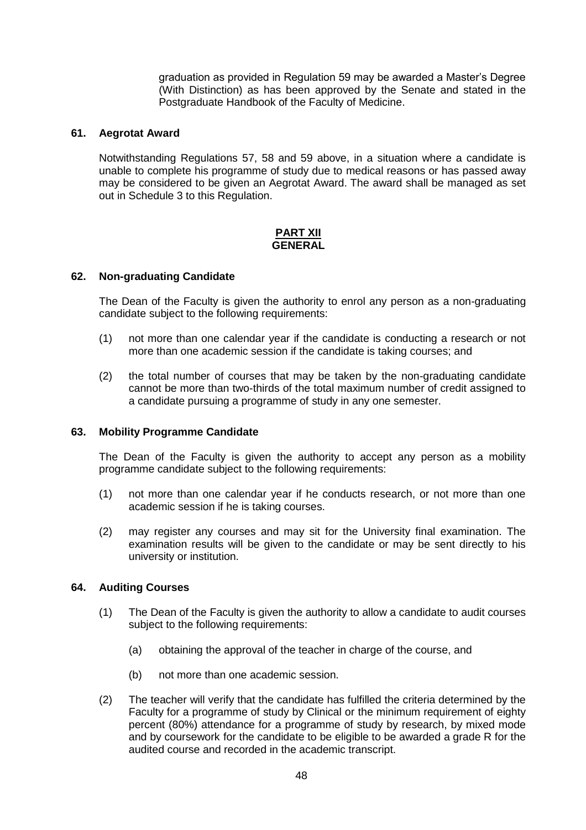graduation as provided in Regulation 59 may be awarded a Master's Degree (With Distinction) as has been approved by the Senate and stated in the Postgraduate Handbook of the Faculty of Medicine.

### **61. Aegrotat Award**

Notwithstanding Regulations 57, 58 and 59 above, in a situation where a candidate is unable to complete his programme of study due to medical reasons or has passed away may be considered to be given an Aegrotat Award. The award shall be managed as set out in Schedule 3 to this Regulation.

#### **PART XII GENERAL**

#### **62. Non-graduating Candidate**

The Dean of the Faculty is given the authority to enrol any person as a non-graduating candidate subject to the following requirements:

- (1) not more than one calendar year if the candidate is conducting a research or not more than one academic session if the candidate is taking courses; and
- (2) the total number of courses that may be taken by the non-graduating candidate cannot be more than two-thirds of the total maximum number of credit assigned to a candidate pursuing a programme of study in any one semester.

#### **63. Mobility Programme Candidate**

The Dean of the Faculty is given the authority to accept any person as a mobility programme candidate subject to the following requirements:

- (1) not more than one calendar year if he conducts research, or not more than one academic session if he is taking courses.
- (2) may register any courses and may sit for the University final examination. The examination results will be given to the candidate or may be sent directly to his university or institution.

#### **64. Auditing Courses**

- (1) The Dean of the Faculty is given the authority to allow a candidate to audit courses subject to the following requirements:
	- (a) obtaining the approval of the teacher in charge of the course, and
	- (b) not more than one academic session.
- (2) The teacher will verify that the candidate has fulfilled the criteria determined by the Faculty for a programme of study by Clinical or the minimum requirement of eighty percent (80%) attendance for a programme of study by research, by mixed mode and by coursework for the candidate to be eligible to be awarded a grade R for the audited course and recorded in the academic transcript.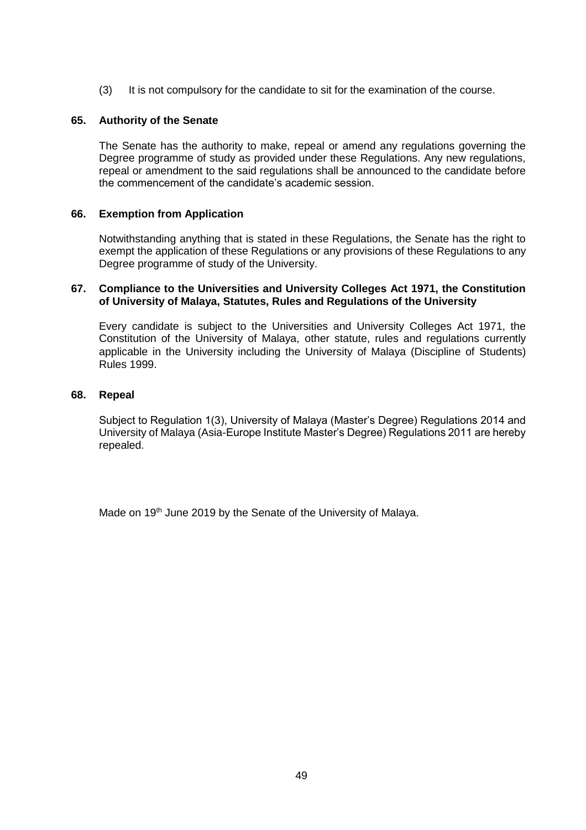(3) It is not compulsory for the candidate to sit for the examination of the course.

### **65. Authority of the Senate**

The Senate has the authority to make, repeal or amend any regulations governing the Degree programme of study as provided under these Regulations. Any new regulations, repeal or amendment to the said regulations shall be announced to the candidate before the commencement of the candidate's academic session.

### **66. Exemption from Application**

Notwithstanding anything that is stated in these Regulations, the Senate has the right to exempt the application of these Regulations or any provisions of these Regulations to any Degree programme of study of the University.

#### **67. Compliance to the Universities and University Colleges Act 1971, the Constitution of University of Malaya, Statutes, Rules and Regulations of the University**

Every candidate is subject to the Universities and University Colleges Act 1971, the Constitution of the University of Malaya, other statute, rules and regulations currently applicable in the University including the University of Malaya (Discipline of Students) Rules 1999.

### **68. Repeal**

Subject to Regulation 1(3), University of Malaya (Master's Degree) Regulations 2014 and University of Malaya (Asia-Europe Institute Master's Degree) Regulations 2011 are hereby repealed.

Made on 19<sup>th</sup> June 2019 by the Senate of the University of Malaya.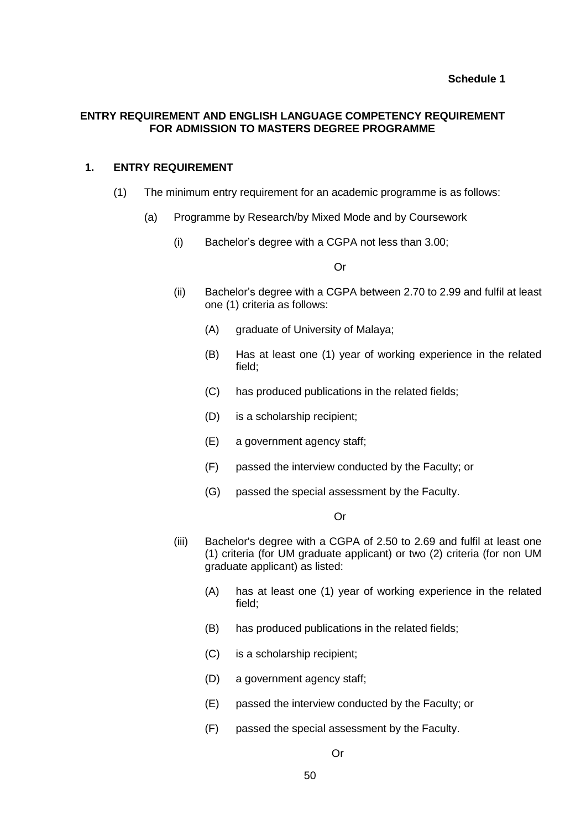## **ENTRY REQUIREMENT AND ENGLISH LANGUAGE COMPETENCY REQUIREMENT FOR ADMISSION TO MASTERS DEGREE PROGRAMME**

## **1. ENTRY REQUIREMENT**

- (1) The minimum entry requirement for an academic programme is as follows:
	- (a) Programme by Research/by Mixed Mode and by Coursework
		- (i) Bachelor's degree with a CGPA not less than 3.00;

#### Or

- (ii) Bachelor's degree with a CGPA between 2.70 to 2.99 and fulfil at least one (1) criteria as follows:
	- (A) graduate of University of Malaya;
	- (B) Has at least one (1) year of working experience in the related field;
	- (C) has produced publications in the related fields;
	- (D) is a scholarship recipient;
	- (E) a government agency staff;
	- (F) passed the interview conducted by the Faculty; or
	- (G) passed the special assessment by the Faculty.

#### Or

- (iii) Bachelor's degree with a CGPA of 2.50 to 2.69 and fulfil at least one (1) criteria (for UM graduate applicant) or two (2) criteria (for non UM graduate applicant) as listed:
	- (A) has at least one (1) year of working experience in the related field;
	- (B) has produced publications in the related fields;
	- (C) is a scholarship recipient;
	- (D) a government agency staff;
	- (E) passed the interview conducted by the Faculty; or
	- (F) passed the special assessment by the Faculty.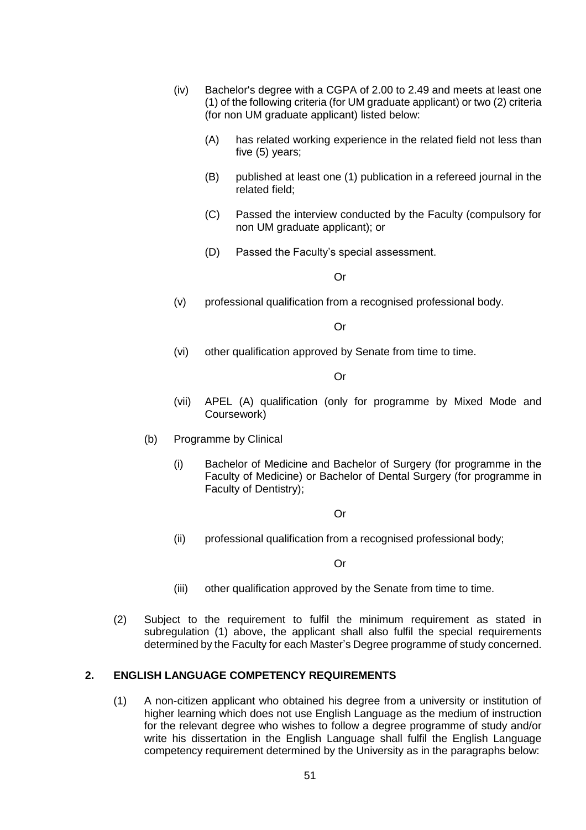- (iv) Bachelor's degree with a CGPA of 2.00 to 2.49 and meets at least one (1) of the following criteria (for UM graduate applicant) or two (2) criteria (for non UM graduate applicant) listed below:
	- (A) has related working experience in the related field not less than five (5) years;
	- (B) published at least one (1) publication in a refereed journal in the related field;
	- (C) Passed the interview conducted by the Faculty (compulsory for non UM graduate applicant); or
	- (D) Passed the Faculty's special assessment.

Or

(v) professional qualification from a recognised professional body.

Or

(vi) other qualification approved by Senate from time to time.

Or

- (vii) APEL (A) qualification (only for programme by Mixed Mode and Coursework)
- (b) Programme by Clinical
	- (i) Bachelor of Medicine and Bachelor of Surgery (for programme in the Faculty of Medicine) or Bachelor of Dental Surgery (for programme in Faculty of Dentistry);

Or

(ii) professional qualification from a recognised professional body;

Or

- (iii) other qualification approved by the Senate from time to time.
- (2) Subject to the requirement to fulfil the minimum requirement as stated in subregulation (1) above, the applicant shall also fulfil the special requirements determined by the Faculty for each Master's Degree programme of study concerned.

#### **2. ENGLISH LANGUAGE COMPETENCY REQUIREMENTS**

(1) A non-citizen applicant who obtained his degree from a university or institution of higher learning which does not use English Language as the medium of instruction for the relevant degree who wishes to follow a degree programme of study and/or write his dissertation in the English Language shall fulfil the English Language competency requirement determined by the University as in the paragraphs below: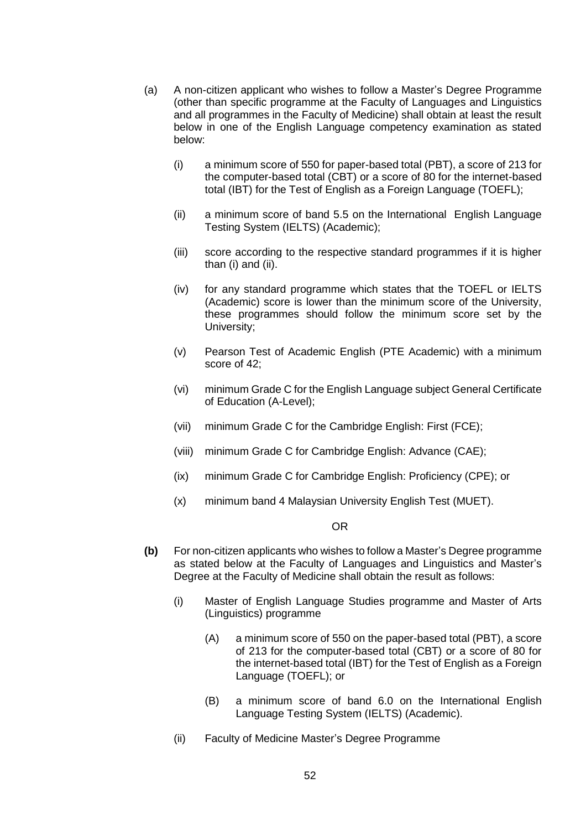- (a) A non-citizen applicant who wishes to follow a Master's Degree Programme (other than specific programme at the Faculty of Languages and Linguistics and all programmes in the Faculty of Medicine) shall obtain at least the result below in one of the English Language competency examination as stated below:
	- (i) a minimum score of 550 for paper-based total (PBT), a score of 213 for the computer-based total (CBT) or a score of 80 for the internet-based total (IBT) for the Test of English as a Foreign Language (TOEFL);
	- (ii) a minimum score of band 5.5 on the International English Language Testing System (IELTS) (Academic);
	- (iii) score according to the respective standard programmes if it is higher than (i) and (ii).
	- (iv) for any standard programme which states that the TOEFL or IELTS (Academic) score is lower than the minimum score of the University, these programmes should follow the minimum score set by the University;
	- (v) Pearson Test of Academic English (PTE Academic) with a minimum score of 42;
	- (vi) minimum Grade C for the English Language subject General Certificate of Education (A-Level);
	- (vii) minimum Grade C for the Cambridge English: First (FCE);
	- (viii) minimum Grade C for Cambridge English: Advance (CAE);
	- (ix) minimum Grade C for Cambridge English: Proficiency (CPE); or
	- (x) minimum band 4 Malaysian University English Test (MUET).

#### OR

- **(b)** For non-citizen applicants who wishes to follow a Master's Degree programme as stated below at the Faculty of Languages and Linguistics and Master's Degree at the Faculty of Medicine shall obtain the result as follows:
	- (i) Master of English Language Studies programme and Master of Arts (Linguistics) programme
		- (A) a minimum score of 550 on the paper-based total (PBT), a score of 213 for the computer-based total (CBT) or a score of 80 for the internet-based total (IBT) for the Test of English as a Foreign Language (TOEFL); or
		- (B) a minimum score of band 6.0 on the International English Language Testing System (IELTS) (Academic).
	- (ii) Faculty of Medicine Master's Degree Programme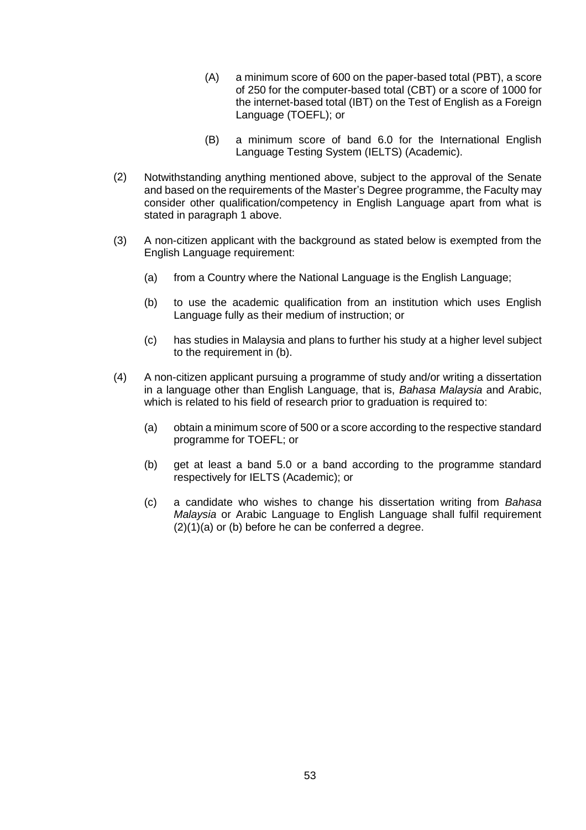- (A) a minimum score of 600 on the paper-based total (PBT), a score of 250 for the computer-based total (CBT) or a score of 1000 for the internet-based total (IBT) on the Test of English as a Foreign Language (TOEFL); or
- (B) a minimum score of band 6.0 for the International English Language Testing System (IELTS) (Academic).
- (2) Notwithstanding anything mentioned above, subject to the approval of the Senate and based on the requirements of the Master's Degree programme, the Faculty may consider other qualification/competency in English Language apart from what is stated in paragraph 1 above.
- (3) A non-citizen applicant with the background as stated below is exempted from the English Language requirement:
	- (a) from a Country where the National Language is the English Language;
	- (b) to use the academic qualification from an institution which uses English Language fully as their medium of instruction; or
	- (c) has studies in Malaysia and plans to further his study at a higher level subject to the requirement in (b).
- (4) A non-citizen applicant pursuing a programme of study and/or writing a dissertation in a language other than English Language, that is, *Bahasa Malaysia* and Arabic, which is related to his field of research prior to graduation is required to:
	- (a) obtain a minimum score of 500 or a score according to the respective standard programme for TOEFL; or
	- (b) get at least a band 5.0 or a band according to the programme standard respectively for IELTS (Academic); or
	- (c) a candidate who wishes to change his dissertation writing from *Bahasa Malaysia* or Arabic Language to English Language shall fulfil requirement (2)(1)(a) or (b) before he can be conferred a degree.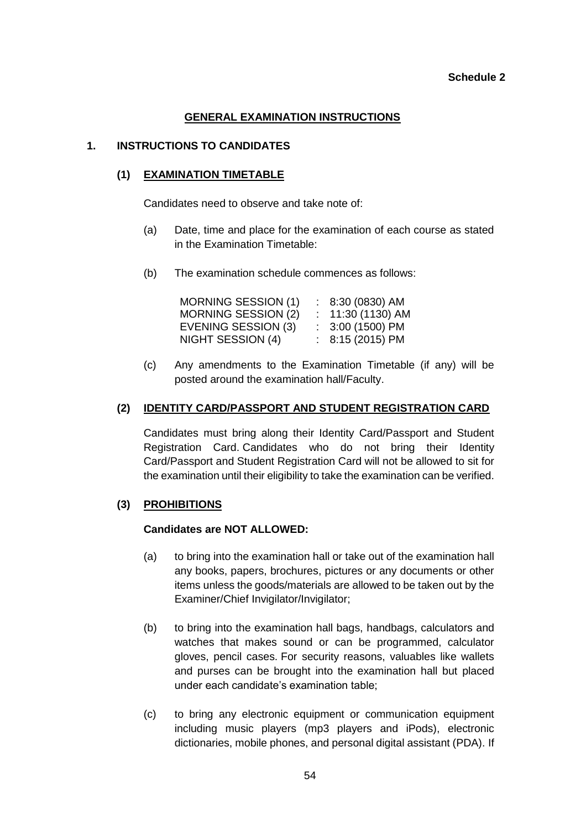### **Schedule 2**

# **GENERAL EXAMINATION INSTRUCTIONS**

# **1. INSTRUCTIONS TO CANDIDATES**

## **(1) EXAMINATION TIMETABLE**

Candidates need to observe and take note of:

- (a) Date, time and place for the examination of each course as stated in the Examination Timetable:
- (b) The examination schedule commences as follows:

| MORNING SESSION (1) | $: 8:30(0830)$ AM  |
|---------------------|--------------------|
| MORNING SESSION (2) | $: 11:30(1130)$ AM |
| EVENING SESSION (3) | $: 3:00(1500)$ PM  |
| NIGHT SESSION (4)   | $: 8:15(2015)$ PM  |

(c) Any amendments to the Examination Timetable (if any) will be posted around the examination hall/Faculty.

### **(2) IDENTITY CARD/PASSPORT AND STUDENT REGISTRATION CARD**

Candidates must bring along their Identity Card/Passport and Student Registration Card. Candidates who do not bring their Identity Card/Passport and Student Registration Card will not be allowed to sit for the examination until their eligibility to take the examination can be verified.

## **(3) PROHIBITIONS**

#### **Candidates are NOT ALLOWED:**

- (a) to bring into the examination hall or take out of the examination hall any books, papers, brochures, pictures or any documents or other items unless the goods/materials are allowed to be taken out by the Examiner/Chief Invigilator/Invigilator;
- (b) to bring into the examination hall bags, handbags, calculators and watches that makes sound or can be programmed, calculator gloves, pencil cases. For security reasons, valuables like wallets and purses can be brought into the examination hall but placed under each candidate's examination table;
- (c) to bring any electronic equipment or communication equipment including music players (mp3 players and iPods), electronic dictionaries, mobile phones, and personal digital assistant (PDA). If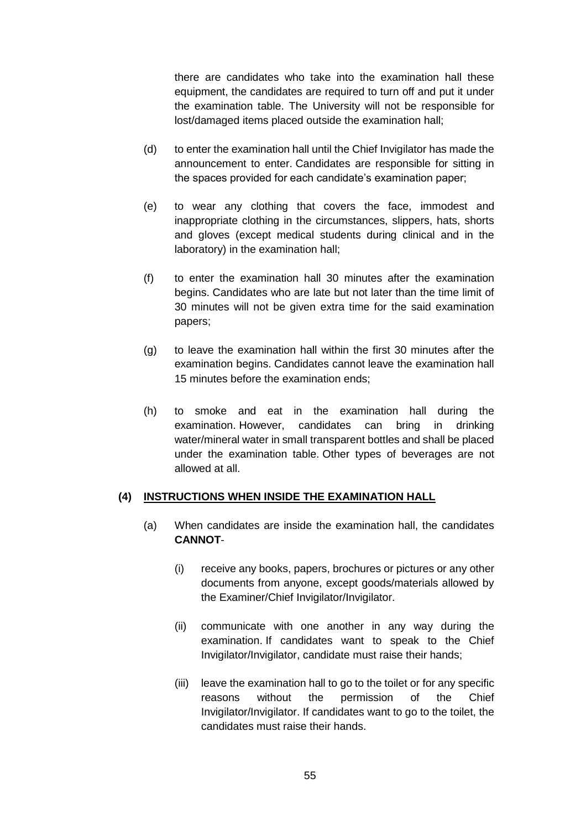there are candidates who take into the examination hall these equipment, the candidates are required to turn off and put it under the examination table. The University will not be responsible for lost/damaged items placed outside the examination hall;

- (d) to enter the examination hall until the Chief Invigilator has made the announcement to enter. Candidates are responsible for sitting in the spaces provided for each candidate's examination paper;
- (e) to wear any clothing that covers the face, immodest and inappropriate clothing in the circumstances, slippers, hats, shorts and gloves (except medical students during clinical and in the laboratory) in the examination hall;
- (f) to enter the examination hall 30 minutes after the examination begins. Candidates who are late but not later than the time limit of 30 minutes will not be given extra time for the said examination papers;
- (g) to leave the examination hall within the first 30 minutes after the examination begins. Candidates cannot leave the examination hall 15 minutes before the examination ends;
- (h) to smoke and eat in the examination hall during the examination. However, candidates can bring in drinking water/mineral water in small transparent bottles and shall be placed under the examination table. Other types of beverages are not allowed at all.

### **(4) INSTRUCTIONS WHEN INSIDE THE EXAMINATION HALL**

- (a) When candidates are inside the examination hall, the candidates **CANNOT**-
	- (i) receive any books, papers, brochures or pictures or any other documents from anyone, except goods/materials allowed by the Examiner/Chief Invigilator/Invigilator.
	- (ii) communicate with one another in any way during the examination. If candidates want to speak to the Chief Invigilator/Invigilator, candidate must raise their hands;
	- (iii) leave the examination hall to go to the toilet or for any specific reasons without the permission of the Chief Invigilator/Invigilator. If candidates want to go to the toilet, the candidates must raise their hands.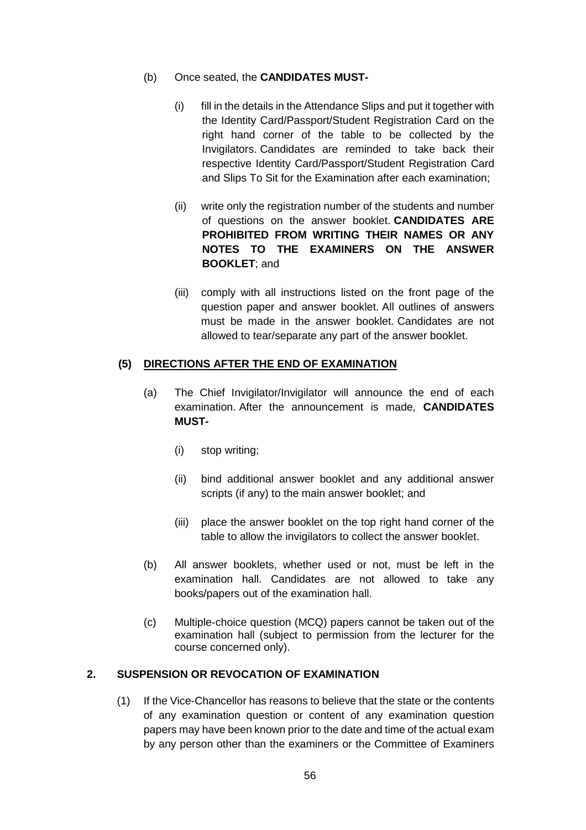- (b) Once seated, the **CANDIDATES MUST-**
	- (i) fill in the details in the Attendance Slips and put it together with the Identity Card/Passport/Student Registration Card on the right hand corner of the table to be collected by the Invigilators. Candidates are reminded to take back their respective Identity Card/Passport/Student Registration Card and Slips To Sit for the Examination after each examination;
	- (ii) write only the registration number of the students and number of questions on the answer booklet. **CANDIDATES ARE PROHIBITED FROM WRITING THEIR NAMES OR ANY NOTES TO THE EXAMINERS ON THE ANSWER BOOKLET**; and
	- (iii) comply with all instructions listed on the front page of the question paper and answer booklet. All outlines of answers must be made in the answer booklet. Candidates are not allowed to tear/separate any part of the answer booklet.

## **(5) DIRECTIONS AFTER THE END OF EXAMINATION**

- (a) The Chief Invigilator/Invigilator will announce the end of each examination. After the announcement is made, **CANDIDATES MUST-**
	- (i) stop writing;
	- (ii) bind additional answer booklet and any additional answer scripts (if any) to the main answer booklet; and
	- (iii) place the answer booklet on the top right hand corner of the table to allow the invigilators to collect the answer booklet.
- (b) All answer booklets, whether used or not, must be left in the examination hall. Candidates are not allowed to take any books/papers out of the examination hall.
- (c) Multiple-choice question (MCQ) papers cannot be taken out of the examination hall (subject to permission from the lecturer for the course concerned only).

# **2. SUSPENSION OR REVOCATION OF EXAMINATION**

(1) If the Vice-Chancellor has reasons to believe that the state or the contents of any examination question or content of any examination question papers may have been known prior to the date and time of the actual exam by any person other than the examiners or the Committee of Examiners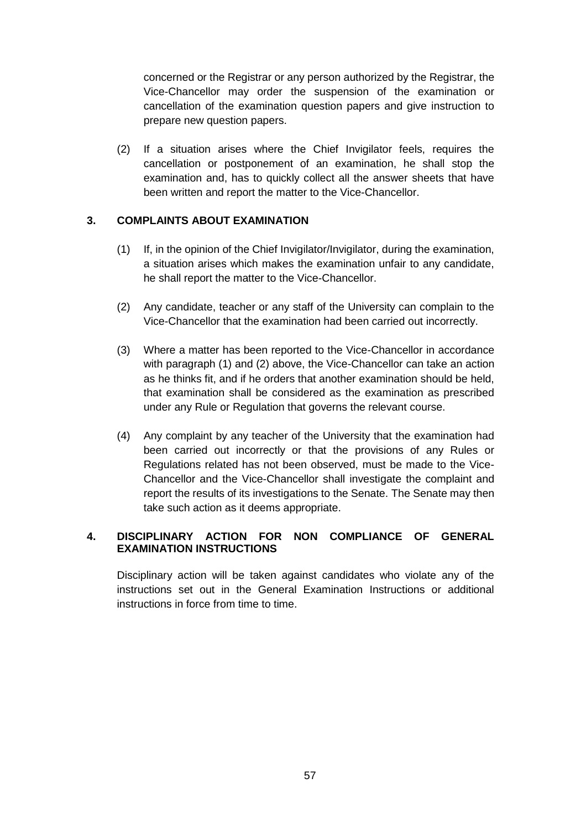concerned or the Registrar or any person authorized by the Registrar, the Vice-Chancellor may order the suspension of the examination or cancellation of the examination question papers and give instruction to prepare new question papers.

(2) If a situation arises where the Chief Invigilator feels, requires the cancellation or postponement of an examination, he shall stop the examination and, has to quickly collect all the answer sheets that have been written and report the matter to the Vice-Chancellor.

# **3. COMPLAINTS ABOUT EXAMINATION**

- (1) If, in the opinion of the Chief Invigilator/Invigilator, during the examination, a situation arises which makes the examination unfair to any candidate, he shall report the matter to the Vice-Chancellor.
- (2) Any candidate, teacher or any staff of the University can complain to the Vice-Chancellor that the examination had been carried out incorrectly.
- (3) Where a matter has been reported to the Vice-Chancellor in accordance with paragraph (1) and (2) above, the Vice-Chancellor can take an action as he thinks fit, and if he orders that another examination should be held, that examination shall be considered as the examination as prescribed under any Rule or Regulation that governs the relevant course.
- (4) Any complaint by any teacher of the University that the examination had been carried out incorrectly or that the provisions of any Rules or Regulations related has not been observed, must be made to the Vice-Chancellor and the Vice-Chancellor shall investigate the complaint and report the results of its investigations to the Senate. The Senate may then take such action as it deems appropriate.

# **4. DISCIPLINARY ACTION FOR NON COMPLIANCE OF GENERAL EXAMINATION INSTRUCTIONS**

Disciplinary action will be taken against candidates who violate any of the instructions set out in the General Examination Instructions or additional instructions in force from time to time.